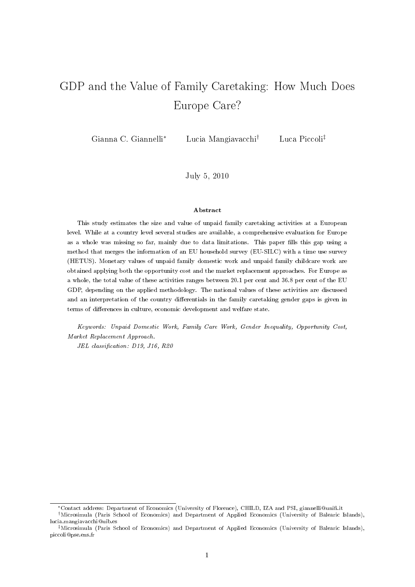# GDP and the Value of Family Caretaking: How Much Does Europe Care?

Gianna C. Giannelli<sup>∗</sup> Lucia Mangiavacchi† Luca Piccoli‡

July 5, 2010

#### Abstract

This study estimates the size and value of unpaid family caretaking activities at a European level. While at a country level several studies are available, a comprehensive evaluation for Europe as a whole was missing so far, mainly due to data limitations. This paper fills this gap using a method that merges the information of an EU household survey (EU-SILC) with a time use survey (HETUS). Monetary values of unpaid family domestic work and unpaid family childcare work are obtained applying both the opportunity cost and the market replacement approaches. For Europe as a whole, the total value of these activities ranges between 20.1 per cent and 36.8 per cent of the EU GDP, depending on the applied methodology. The national values of these activities are discussed and an interpretation of the country differentials in the family caretaking gender gaps is given in terms of differences in culture, economic development and welfare state.

Keywords: Unpaid Domestic Work, Family Care Work, Gender Inequality, Opportunity Cost, Market Replacement Approach.

JEL classification: D19, J16, R20

<sup>∗</sup>Contact address: Department of Economics (University of Florence), CHILD, IZA and PSI, giannelli@uni.it

<sup>†</sup>Microsimula (Paris School of Economics) and Department of Applied Economics (University of Balearic Islands), lucia.mangiavacchi@uib.es

<sup>‡</sup>Microsimula (Paris School of Economics) and Department of Applied Economics (University of Balearic Islands), piccoli@pse.ens.fr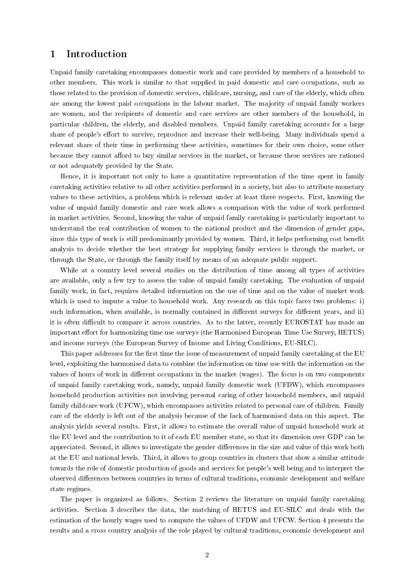## 1 Introduction

Unpaid family caretaking encompasses domestic work and care provided by members of a household to other members. This work is similar to that supplied in paid domestic and care occupations, such as those related to the provision of domestic services, childcare, nursing, and care of the elderly, which often are among the lowest paid occupations in the labour market. The majority of unpaid family workers are women, and the recipients of domestic and care services are other members of the household, in particular children, the elderly, and disabled members. Unpaid family caretaking accounts for a large share of people's effort to survive, reproduce and increase their well-being. Many individuals spend a relevant share of their time in performing these activities, sometimes for their own choice, some other because they cannot afford to buy similar services in the market, or because these services are rationed or not adequately provided by the State.

Hence, it is important not only to have a quantitative representation of the time spent in family caretaking activities relative to all other activities performed in a society, but also to attribute monetary values to these activities, a problem which is relevant under at least three respects. First, knowing the value of unpaid family domestic and care work allows a comparison with the value of work performed in market activities. Second, knowing the value of unpaid family caretaking is particularly important to understand the real contribution of women to the national product and the dimension of gender gaps, since this type of work is still predominantly provided by women. Third, it helps performing cost benefit analysis to decide whether the best strategy for supplying family services is through the market, or through the State, or through the family itself by means of an adequate public support.

While at a country level several studies on the distribution of time among all types of activities are available, only a few try to assess the value of unpaid family caretaking. The evaluation of unpaid family work, in fact, requires detailed information on the use of time and on the value of market work which is used to impute a value to household work. Any research on this topic faces two problems: i) such information, when available, is normally contained in different surveys for different years, and ii) it is often difficult to compare it across countries. As to the latter, recently EUROSTAT has made an important effort for harmonizing time use surveys (the Harmonised European Time Use Survey, HETUS) and income surveys (the European Survey of Income and Living Conditions, EU-SILC).

This paper addresses for the first time the issue of measurement of unpaid family caretaking at the EU level, exploiting the harmonised data to combine the information on time use with the information on the values of hours of work in different occupations in the market (wages). The focus is on two components of unpaid family caretaking work, namely, unpaid family domestic work (UFDW), which encompasses household production activities not involving personal caring of other household members, and unpaid family childcare work (UFCW), which encompasses activities related to personal care of children. Family care of the elderly is left out of the analysis because of the lack of harmonised data on this aspect. The analysis yields several results. First, it allows to estimate the overall value of unpaid household work at the EU level and the contribution to it of each EU member state, so that its dimension over GDP can be appreciated. Second, it allows to investigate the gender differences in the size and value of this work both at the EU and national levels. Third, it allows to group countries in clusters that show a similar attitude towards the role of domestic production of goods and services for people's well being and to interpret the observed differences between countries in terms of cultural traditions, economic development and welfare state regimes.

The paper is organized as follows. Section 2 reviews the literature on unpaid family caretaking activities. Section 3 describes the data, the matching of HETUS and EU-SILC and deals with the estimation of the hourly wages used to compute the values of UFDW and UFCW. Section 4 presents the results and a cross country analysis of the role played by cultural traditions, economic development and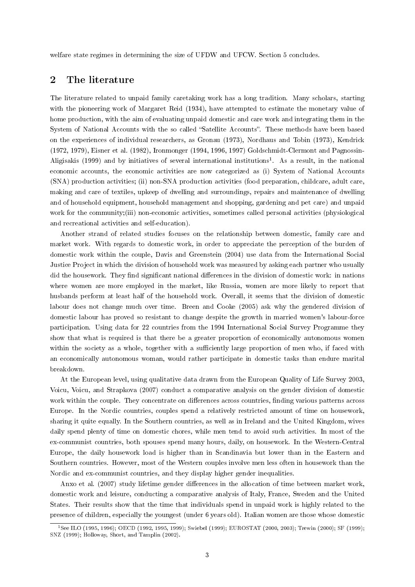welfare state regimes in determining the size of UFDW and UFCW. Section 5 concludes.

### 2 The literature

The literature related to unpaid family caretaking work has a long tradition. Many scholars, starting with the pioneering work of Margaret Reid (1934), have attempted to estimate the monetary value of home production, with the aim of evaluating unpaid domestic and care work and integrating them in the System of National Accounts with the so called "Satellite Accounts". These methods have been based on the experiences of individual researchers, as Gronau (1973), Nordhaus and Tobin (1973), Kendrick (1972, 1979), Eisner et al. (1982), Ironmonger (1994, 1996, 1997) Goldschmidt-Clermont and Pagnossin-Aligisakis (1999) and by initiatives of several international institutions<sup>1</sup>. As a result, in the national economic accounts, the economic activities are now categorized as (i) System of National Accounts (SNA) production activities; (ii) non-SNA production activities (food preparation, childcare, adult care, making and care of textiles, upkeep of dwelling and surroundings, repairs and maintenance of dwelling and of household equipment, household management and shopping, gardening and pet care) and unpaid work for the community;(iii) non-economic activities, sometimes called personal activities (physiological and recreational activities and self-education).

Another strand of related studies focuses on the relationship between domestic, family care and market work. With regards to domestic work, in order to appreciate the perception of the burden of domestic work within the couple, Davis and Greenstein (2004) use data from the International Social Justice Project in which the division of household work was measured by asking each partner who usually did the housework. They find significant national differences in the division of domestic work: in nations where women are more employed in the market, like Russia, women are more likely to report that husbands perform at least half of the household work. Overall, it seems that the division of domestic labour does not change much over time. Breen and Cooke (2005) ask why the gendered division of domestic labour has proved so resistant to change despite the growth in married women's labour-force participation. Using data for 22 countries from the 1994 International Social Survey Programme they show that what is required is that there be a greater proportion of economically autonomous women within the society as a whole, together with a sufficiently large proportion of men who, if faced with an economically autonomous woman, would rather participate in domestic tasks than endure marital breakdown.

At the European level, using qualitative data drawn from the European Quality of Life Survey 2003, Voicu, Voicu, and Strapkova (2007) conduct a comparative analysis on the gender division of domestic work within the couple. They concentrate on differences across countries, finding various patterns across Europe. In the Nordic countries, couples spend a relatively restricted amount of time on housework, sharing it quite equally. In the Southern countries, as well as in Ireland and the United Kingdom, wives daily spend plenty of time on domestic chores, while men tend to avoid such activities. In most of the ex-communist countries, both spouses spend many hours, daily, on housework. In the Western-Central Europe, the daily housework load is higher than in Scandinavia but lower than in the Eastern and Southern countries. However, most of the Western couples involve men less often in housework than the Nordic and ex-communist countries, and they display higher gender inequalities.

Anxo et al. (2007) study lifetime gender differences in the allocation of time between market work, domestic work and leisure, conducting a comparative analysis of Italy, France, Sweden and the United States. Their results show that the time that individuals spend in unpaid work is highly related to the presence of children, especially the youngest (under 6 years old). Italian women are those whose domestic

<sup>1</sup>See ILO (1995, 1996); OECD (1992, 1995, 1999); Swiebel (1999); EUROSTAT (2000, 2003); Trewin (2000); SF (1999); SNZ (1999); Holloway, Short, and Tamplin (2002).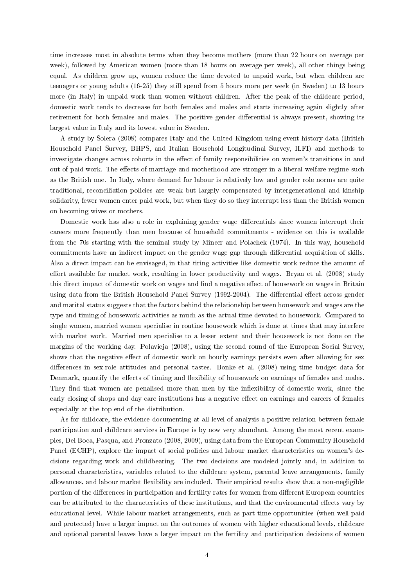time increases most in absolute terms when they become mothers (more than 22 hours on average per week), followed by American women (more than 18 hours on average per week), all other things being equal. As children grow up, women reduce the time devoted to unpaid work, but when children are teenagers or young adults (16-25) they still spend from 5 hours more per week (in Sweden) to 13 hours more (in Italy) in unpaid work than women without children. After the peak of the childcare period, domestic work tends to decrease for both females and males and starts increasing again slightly after retirement for both females and males. The positive gender differential is always present, showing its largest value in Italy and its lowest value in Sweden.

A study by Solera (2008) compares Italy and the United Kingdom using event history data (British Household Panel Survey, BHPS, and Italian Household Longitudinal Survey, ILFI) and methods to investigate changes across cohorts in the effect of family responsibilities on women's transitions in and out of paid work. The effects of marriage and motherhood are stronger in a liberal welfare regime such as the British one. In Italy, where demand for labour is relatively low and gender role norms are quite traditional, reconciliation policies are weak but largely compensated by intergenerational and kinship solidarity, fewer women enter paid work, but when they do so they interrupt less than the British women on becoming wives or mothers.

Domestic work has also a role in explaining gender wage differentials since women interrupt their careers more frequently than men because of household commitments - evidence on this is available from the 70s starting with the seminal study by Mincer and Polachek (1974). In this way, household commitments have an indirect impact on the gender wage gap through differential acquisition of skills. Also a direct impact can be envisaged, in that tiring activities like domestic work reduce the amount of effort available for market work, resulting in lower productivity and wages. Bryan et al. (2008) study this direct impact of domestic work on wages and find a negative effect of housework on wages in Britain using data from the British Household Panel Survey (1992-2004). The differential effect across gender and marital status suggests that the factors behind the relationship between housework and wages are the type and timing of housework activities as much as the actual time devoted to housework. Compared to single women, married women specialise in routine housework which is done at times that may interfere with market work. Married men specialise to a lesser extent and their housework is not done on the margins of the working day. Polavieja (2008), using the second round of the European Social Survey, shows that the negative effect of domestic work on hourly earnings persists even after allowing for sex differences in sex-role attitudes and personal tastes. Bonke et al. (2008) using time budget data for Denmark, quantify the effects of timing and flexibility of housework on earnings of females and males. They find that women are penalised more than men by the inflexibility of domestic work, since the early closing of shops and day care institutions has a negative effect on earnings and careers of females especially at the top end of the distribution.

As for childcare, the evidence documenting at all level of analysis a positive relation between female participation and childcare services in Europe is by now very abundant. Among the most recent examples, Del Boca, Pasqua, and Pronzato (2008, 2009), using data from the European Community Household Panel (ECHP), explore the impact of social policies and labour market characteristics on women's decisions regarding work and childbearing. The two decisions are modeled jointly and, in addition to personal characteristics, variables related to the childcare system, parental leave arrangements, family allowances, and labour market flexibility are included. Their empirical results show that a non-negligible portion of the differences in participation and fertility rates for women from different European countries can be attributed to the characteristics of these institutions, and that the environmental effects vary by educational level. While labour market arrangements, such as part-time opportunities (when well-paid and protected) have a larger impact on the outcomes of women with higher educational levels, childcare and optional parental leaves have a larger impact on the fertility and participation decisions of women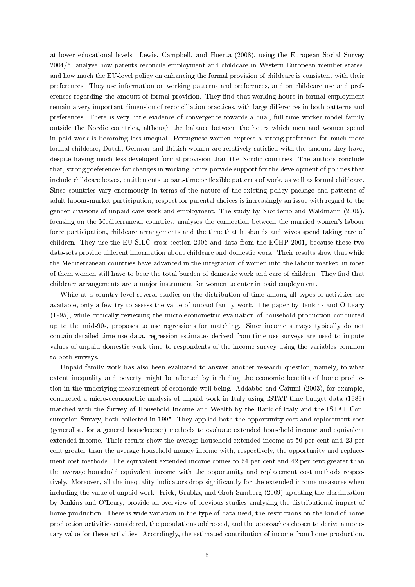at lower educational levels. Lewis, Campbell, and Huerta (2008), using the European Social Survey 2004/5, analyse how parents reconcile employment and childcare in Western European member states, and how much the EU-level policy on enhancing the formal provision of childcare is consistent with their preferences. They use information on working patterns and preferences, and on childcare use and preferences regarding the amount of formal provision. They find that working hours in formal employment remain a very important dimension of reconciliation practices, with large differences in both patterns and preferences. There is very little evidence of convergence towards a dual, full-time worker model family outside the Nordic countries, although the balance between the hours which men and women spend in paid work is becoming less unequal. Portuguese women express a strong preference for much more formal childcare; Dutch, German and British women are relatively satisfied with the amount they have, despite having much less developed formal provision than the Nordic countries. The authors conclude that, strong preferences for changes in working hours provide support for the development of policies that include childcare leaves, entitlements to part-time or flexible patterns of work, as well as formal childcare. Since countries vary enormously in terms of the nature of the existing policy package and patterns of adult labour-market participation, respect for parental choices is increasingly an issue with regard to the gender divisions of unpaid care work and employment. The study by Nicodemo and Waldmann (2009), focusing on the Mediterranean countries, analyses the connection between the married women's labour force participation, childcare arrangements and the time that husbands and wives spend taking care of children. They use the EU-SILC cross-section 2006 and data from the ECHP 2001, because these two data-sets provide different information about childcare and domestic work. Their results show that while the Mediterranean countries have advanced in the integration of women into the labour market, in most of them women still have to bear the total burden of domestic work and care of children. They find that childcare arrangements are a major instrument for women to enter in paid employment.

While at a country level several studies on the distribution of time among all types of activities are available, only a few try to assess the value of unpaid family work. The paper by Jenkins and O'Leary (1995), while critically reviewing the micro-econometric evaluation of household production conducted up to the mid-90s, proposes to use regressions for matching. Since income surveys typically do not contain detailed time use data, regression estimates derived from time use surveys are used to impute values of unpaid domestic work time to respondents of the income survey using the variables common to both surveys.

Unpaid family work has also been evaluated to answer another research question, namely, to what extent inequality and poverty might be affected by including the economic benefits of home production in the underlying measurement of economic well-being. Addabbo and Caiumi (2003), for example, conducted a micro-econometric analysis of unpaid work in Italy using ISTAT time budget data (1989) matched with the Survey of Household Income and Wealth by the Bank of Italy and the ISTAT Consumption Survey, both collected in 1995. They applied both the opportunity cost and replacement cost (generalist, for a general housekeeper) methods to evaluate extended household income and equivalent extended income. Their results show the average household extended income at 50 per cent and 23 per cent greater than the average household money income with, respectively, the opportunity and replacement cost methods. The equivalent extended income comes to 54 per cent and 42 per cent greater than the average household equivalent income with the opportunity and replacement cost methods respectively. Moreover, all the inequality indicators drop significantly for the extended income measures when including the value of unpaid work. Frick, Grabka, and Groh-Samberg (2009) updating the classication by Jenkins and O'Leary, provide an overview of previous studies analysing the distributional impact of home production. There is wide variation in the type of data used, the restrictions on the kind of home production activities considered, the populations addressed, and the approaches chosen to derive a monetary value for these activities. Accordingly, the estimated contribution of income from home production,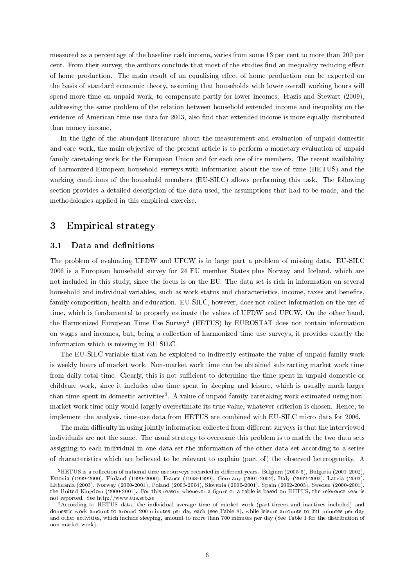measured as a percentage of the baseline cash income, varies from some 13 per cent to more than 200 per cent. From their survey, the authors conclude that most of the studies find an inequality-reducing effect of home production. The main result of an equalising effect of home production can be expected on the basis of standard economic theory, assuming that households with lower overall working hours will spend more time on unpaid work, to compensate partly for lower incomes. Frazis and Stewart (2009), addressing the same problem of the relation between household extended income and inequality on the evidence of American time use data for 2003, also find that extended income is more equally distributed than money income.

In the light of the abundant literature about the measurement and evaluation of unpaid domestic and care work, the main objective of the present article is to perform a monetary evaluation of unpaid family caretaking work for the European Union and for each one of its members. The recent availability of harmonized European household surveys with information about the use of time (HETUS) and the working conditions of the household members (EU-SILC) allows performing this task. The following section provides a detailed description of the data used, the assumptions that had to be made, and the methodologies applied in this empirical exercise.

## 3 Empirical strategy

#### 3.1 Data and definitions

The problem of evaluating UFDW and UFCW is in large part a problem of missing data. EU-SILC 2006 is a European household survey for 24 EU member States plus Norway and Iceland, which are not included in this study, since the focus is on the EU. The data set is rich in information on several household and individual variables, such as work status and characteristics, income, taxes and benets, family composition, health and education. EU-SILC, however, does not collect information on the use of time, which is fundamental to properly estimate the values of UFDW and UFCW. On the other hand, the Harmonized European Time Use Survey<sup>2</sup> (HETUS) by EUROSTAT does not contain information on wages and incomes, but, being a collection of harmonized time use surveys, it provides exactly the information which is missing in EU-SILC.

The EU-SILC variable that can be exploited to indirectly estimate the value of unpaid family work is weekly hours of market work. Non-market work time can be obtained subtracting market work time from daily total time. Clearly, this is not sufficient to determine the time spent in unpaid domestic or childcare work, since it includes also time spent in sleeping and leisure, which is usually much larger than time spent in domestic activities<sup>3</sup>. A value of unpaid family caretaking work estimated using nonmarket work time only would largely overestimate its true value, whatever criterion is chosen. Hence, to implement the analysis, time-use data from HETUS are combined with EU-SILC micro data for 2006.

The main difficulty in using jointly information collected from different surveys is that the interviewed individuals are not the same. The usual strategy to overcome this problem is to match the two data sets assigning to each individual in one data set the information of the other data set according to a series of characteristics which are believed to be relevant to explain (part of) the observed heterogeneity. A

 $2$ HETUS is a collection of national time use surveys recorded in different years. Belgium (2005-6), Bulgaria (2001-2002), Estonia (1999-2000), Finland (1999-2000), France (1998-1999), Germany (2001-2002), Italy (2002-2003), Latvia (2003), Lithuania (2003), Norway (2000-2001), Poland (2003-2004), Slovenia (2000-2001), Spain (2002-2003), Sweden (2000-2001), the United Kingdom (2000-2001). For this reason whenever a figure or a table is based on HETUS, the reference year is not reported. See http://www.tus.scb.se

<sup>3</sup>According to HETUS data, the individual average time of market work (part-timers and inactives included) and domestic work amount to around 200 minutes per day each (see Table 8), while leisure amounts to 321 minutes per day and other activities, which include sleeping, amount to more than 700 minutes per day (See Table 1 for the distribution of non-market work).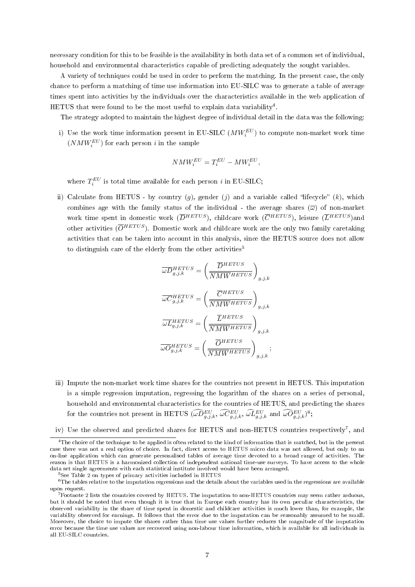necessary condition for this to be feasible is the availability in both data set of a common set of individual, household and environmental characteristics capable of predicting adequately the sought variables.

A variety of techniques could be used in order to perform the matching. In the present case, the only chance to perform a matching of time use information into EU-SILC was to generate a table of average times spent into activities by the individuals over the characteristics available in the web application of HETUS that were found to be the most useful to explain data variability<sup>4</sup>.

The strategy adopted to maintain the highest degree of individual detail in the data was the following:

i) Use the work time information present in EU-SILC  $(MW_i^{EU})$  to compute non-market work time  $(NMW_i^{EU})$  for each person *i* in the sample

$$
NMW_i^{EU}=T_i^{EU}-MW_i^{EU}, \quad
$$

where  $T_i^{EU}$  is total time available for each person *i* in EU-SILC;

ii) Calculate from HETUS - by country (q), gender (j) and a variable called "lifecycle" (k), which combines age with the family status of the individual - the average shares  $(\overline{\omega})$  of non-market work time spent in domestic work  $(\overline{D}^{HETUS})$ , childcare work  $(\overline{C}^{HETUS})$ , leisure  $(\overline{L}^{HETUS})$ and other activities ( $\overline{O}^{HETUS}$ ). Domestic work and childcare work are the only two family caretaking activities that can be taken into account in this analysis, since the HETUS source does not allow to distinguish care of the elderly from the other activities<sup>5</sup>

$$
\begin{aligned} & \overline{\omega D}_{g,j,k}^{HETUS} = \left( \frac{\overline{D}^{HETUS}}{\overline{NMW}^{HETUS}} \right)_{g,j,k} \\ & \overline{\omega C}_{g,j,k}^{HETUS} = \left( \frac{\overline{C}^{HETUS}}{\overline{NMW}^{HETUS}} \right)_{g,j,k} \\ & \overline{\omega L}_{g,j,k}^{HETUS} = \left( \frac{\overline{L}^{HETUS}}{\overline{NMW}^{HETUS}} \right)_{g,j,k} \\ & \overline{\omega O}_{g,j,k}^{HETUS} = \left( \frac{\overline{O}^{HETUS}}{\overline{NMW}^{HETUS}} \right)_{g,j,k}; \end{aligned}
$$

- iii) Impute the non-market work time shares for the countries not present in HETUS. This imputation is a simple regression imputation, regressing the logarithm of the shares on a series of personal, household and environmental characteristics for the countries of HETUS, and predicting the shares for the countries not present in HETUS  $(\widehat{\omega D}^{EU}_{g,j,k}, \widehat{\omega C}^{EU}_{g,j,k}, \widehat{\omega L}^{EU}_{g,j,k}$  and  $\widehat{\omega O}^{EU}_{g,j,k})^6$ ;
- iv) Use the observed and predicted shares for HETUS and non-HETUS countries respectively<sup>7</sup>, and

<sup>4</sup>The choice of the technique to be applied is often related to the kind of information that is matched, but in the present case there was not a real option of choice. In fact, direct access to HETUS micro data was not allowed, but only to an on-line application which can generate personalised tables of average time devoted to a broad range of activities. The reason is that HETUS is a harmonized collection of independent national time-use surveys. To have access to the whole data set single agreements with each statistical institute involved would have been arranged.

<sup>5</sup>See Table 2 on types of primary activities included in HETUS

 $6$ The tables relative to the imputation regressions and the details about the variables used in the regressions are available upon request.

 $^7$ Footnote 2 lists the countries covered by HETUS. The imputation to non-HETUS countries may seem rather arduous, but it should be noted that even though it is true that in Europe each country has its own peculiar characteristics, the observed variability in the share of time spent in domestic and childcare activities is much lower than, for example, the variability observed for earnings. It follows that the error due to the imputation can be reasonably assumed to be small. Moreover, the choice to impute the shares rather than time use values further reduces the magnitude of the imputation error because the time use values are recovered using non-labour time information, which is available for all individuals in all EU-SILC countries.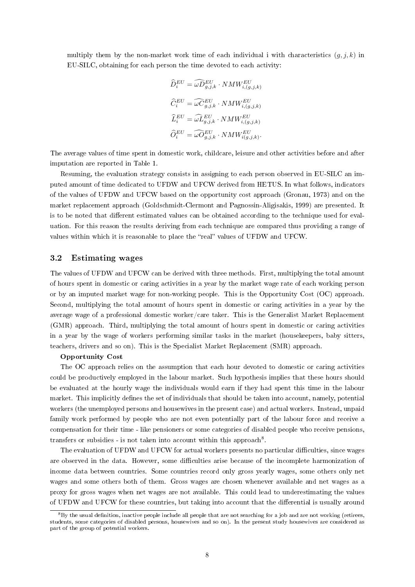multiply them by the non-market work time of each individual i with characteristics  $(q, j, k)$  in EU-SILC, obtaining for each person the time devoted to each activity:

$$
\begin{aligned} \widehat{D}^{EU}_i &= \widehat{\omega D}^{EU}_{g,j,k} \cdot NMW^{EU}_{i,(g,j,k)} \\ \widehat{C}^{EU}_i &= \widehat{\omega C}^{EU}_{g,j,k} \cdot NMW^{EU}_{i,(g,j,k)} \\ \widehat{L}^{EU}_i &= \widehat{\omega L}^{EU}_{g,j,k} \cdot NMW^{EU}_{i,(g,j,k)} \\ \widehat{O}^{EU}_i &= \widehat{\omega O}^{EU}_{g,j,k} \cdot NMW^{EU}_{i(g,j,k)}. \end{aligned}
$$

The average values of time spent in domestic work, childcare, leisure and other activities before and after imputation are reported in Table 1.

Resuming, the evaluation strategy consists in assigning to each person observed in EU-SILC an imputed amount of time dedicated to UFDW and UFCW derived from HETUS. In what follows, indicators of the values of UFDW and UFCW based on the opportunity cost approach (Gronau, 1973) and on the market replacement approach (Goldschmidt-Clermont and Pagnossin-Aligisakis, 1999) are presented. It is to be noted that different estimated values can be obtained according to the technique used for evaluation. For this reason the results deriving from each technique are compared thus providing a range of values within which it is reasonable to place the "real" values of UFDW and UFCW.

#### 3.2 Estimating wages

The values of UFDW and UFCW can be derived with three methods. First, multiplying the total amount of hours spent in domestic or caring activities in a year by the market wage rate of each working person or by an imputed market wage for non-working people. This is the Opportunity Cost (OC) approach. Second, multiplying the total amount of hours spent in domestic or caring activities in a year by the average wage of a professional domestic worker/care taker. This is the Generalist Market Replacement (GMR) approach. Third, multiplying the total amount of hours spent in domestic or caring activities in a year by the wage of workers performing similar tasks in the market (housekeepers, baby sitters, teachers, drivers and so on). This is the Specialist Market Replacement (SMR) approach.

#### Opportunity Cost

The OC approach relies on the assumption that each hour devoted to domestic or caring activities could be productively employed in the labour market. Such hypothesis implies that these hours should be evaluated at the hourly wage the individuals would earn if they had spent this time in the labour market. This implicitly defines the set of individuals that should be taken into account, namely, potential workers (the unemployed persons and housewives in the present case) and actual workers. Instead, unpaid family work performed by people who are not even potentially part of the labour force and receive a compensation for their time - like pensioners or some categories of disabled people who receive pensions, transfers or subsidies - is not taken into account within this approach<sup>8</sup>.

The evaluation of UFDW and UFCW for actual workers presents no particular difficulties, since wages are observed in the data. However, some difficulties arise because of the incomplete harmonization of income data between countries. Some countries record only gross yearly wages, some others only net wages and some others both of them. Gross wages are chosen whenever available and net wages as a proxy for gross wages when net wages are not available. This could lead to underestimating the values of UFDW and UFCW for these countries, but taking into account that the differential is usually around

 $8B<sub>V</sub>$  the usual definition, inactive people include all people that are not searching for a job and are not working (retirees, students, some categories of disabled persons, housewives and so on). In the present study housewives are considered as part of the group of potential workers.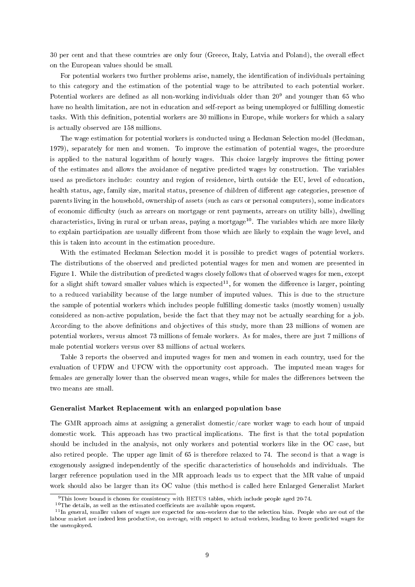30 per cent and that these countries are only four (Greece, Italy, Latvia and Poland), the overall effect on the European values should be small.

For potential workers two further problems arise, namely, the identification of individuals pertaining to this category and the estimation of the potential wage to be attributed to each potential worker. Potential workers are defined as all non-working individuals older than  $20<sup>9</sup>$  and younger than 65 who have no health limitation, are not in education and self-report as being unemployed or fulfilling domestic tasks. With this definition, potential workers are 30 millions in Europe, while workers for which a salary is actually observed are 158 millions.

The wage estimation for potential workers is conducted using a Heckman Selection model (Heckman, 1979), separately for men and women. To improve the estimation of potential wages, the procedure is applied to the natural logarithm of hourly wages. This choice largely improves the fitting power of the estimates and allows the avoidance of negative predicted wages by construction. The variables used as predictors include: country and region of residence, birth outside the EU, level of education, health status, age, family size, marital status, presence of children of different age categories, presence of parents living in the household, ownership of assets (such as cars or personal computers), some indicators of economic difficulty (such as arrears on mortgage or rent payments, arrears on utility bills), dwelling characteristics, living in rural or urban areas, paying a mortgage<sup>10</sup>. The variables which are more likely to explain participation are usually different from those which are likely to explain the wage level, and this is taken into account in the estimation procedure.

With the estimated Heckman Selection model it is possible to predict wages of potential workers. The distributions of the observed and predicted potential wages for men and women are presented in Figure 1. While the distribution of predicted wages closely follows that of observed wages for men, except for a slight shift toward smaller values which is expected<sup>11</sup>, for women the difference is larger, pointing to a reduced variability because of the large number of imputed values. This is due to the structure the sample of potential workers which includes people fullling domestic tasks (mostly women) usually considered as non-active population, beside the fact that they may not be actually searching for a job. According to the above denitions and objectives of this study, more than 23 millions of women are potential workers, versus almost 73 millions of female workers. As for males, there are just 7 millions of male potential workers versus over 83 millions of actual workers.

Table 3 reports the observed and imputed wages for men and women in each country, used for the evaluation of UFDW and UFCW with the opportunity cost approach. The imputed mean wages for females are generally lower than the observed mean wages, while for males the differences between the two means are small.

#### Generalist Market Replacement with an enlarged population base

The GMR approach aims at assigning a generalist domestic/care worker wage to each hour of unpaid domestic work. This approach has two practical implications. The first is that the total population should be included in the analysis, not only workers and potential workers like in the OC case, but also retired people. The upper age limit of 65 is therefore relaxed to 74. The second is that a wage is exogenously assigned independently of the specific characteristics of households and individuals. The larger reference population used in the MR approach leads us to expect that the MR value of unpaid work should also be larger than its OC value (this method is called here Enlarged Generalist Market

<sup>9</sup>This lower bound is chosen for consistency with HETUS tables, which include people aged 20-74.

 $^{10}\mathrm{The}$  details, as well as the estimated coefficients are available upon request.

 $11$ In general, smaller values of wages are expected for non-workers due to the selection bias. People who are out of the labour market are indeed less productive, on average, with respect to actual workers, leading to lower predicted wages for the unemployed.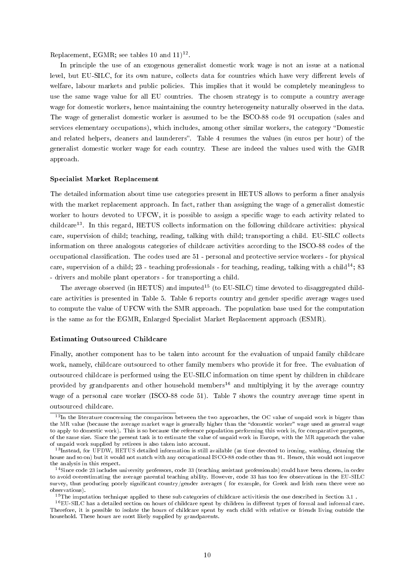Replacement, EGMR; see tables 10 and  $11$ )<sup>12</sup>.

In principle the use of an exogenous generalist domestic work wage is not an issue at a national level, but EU-SILC, for its own nature, collects data for countries which have very different levels of welfare, labour markets and public policies. This implies that it would be completely meaningless to use the same wage value for all EU countries. The chosen strategy is to compute a country average wage for domestic workers, hence maintaining the country heterogeneity naturally observed in the data. The wage of generalist domestic worker is assumed to be the ISCO-88 code 91 occupation (sales and services elementary occupations), which includes, among other similar workers, the category "Domestic and related helpers, cleaners and launderers". Table 4 resumes the values (in euros per hour) of the generalist domestic worker wage for each country. These are indeed the values used with the GMR approach.

#### Specialist Market Replacement

The detailed information about time use categories present in HETUS allows to perform a finer analysis with the market replacement approach. In fact, rather than assigning the wage of a generalist domestic worker to hours devoted to UFCW, it is possible to assign a specific wage to each activity related to childcare<sup>13</sup>. In this regard, HETUS collects information on the following childcare activities: physical care, supervision of child; teaching, reading, talking with child; transporting a child. EU-SILC collects information on three analogous categories of childcare activities according to the ISCO-88 codes of the occupational classication. The codes used are 51 - personal and protective service workers - for physical care, supervision of a child; 23 - teaching professionals - for teaching, reading, talking with a child<sup>14</sup>; 83 - drivers and mobile plant operators - for transporting a child.

The average observed (in HETUS) and imputed<sup>15</sup> (to EU-SILC) time devoted to disaggregated childcare activities is presented in Table 5. Table 6 reports country and gender specific average wages used to compute the value of UFCW with the SMR approach. The population base used for the computation is the same as for the EGMR, Enlarged Specialist Market Replacement approach (ESMR).

#### Estimating Outsourced Childcare

Finally, another component has to be taken into account for the evaluation of unpaid family childcare work, namely, childcare outsourced to other family members who provide it for free. The evaluation of outsourced childcare is performed using the EU-SILC information on time spent by children in childcare provided by grandparents and other household members<sup>16</sup> and multiplying it by the average country wage of a personal care worker (ISCO-88 code 51). Table 7 shows the country average time spent in outsourced childcare.

 $12$ In the literature concerning the comparison between the two approaches, the OC value of unpaid work is bigger than the MR value (because the average market wage is generally higher than the "domestic worker" wage used as general wage to apply to domestic work). This is so because the reference population performing this work is, for comparative purposes, of the same size. Since the present task is to estimate the value of unpaid work in Europe, with the MR approach the value of unpaid work supplied by retirees is also taken into account.

 $13$ Instead, for UFDW, HETUS detailed information is still available (as time devoted to ironing, washing, cleaning the house and so on) but it would not match with any occupational ISCO-88 code other than 91. Hence, this would not improve the analysis in this respect.

<sup>&</sup>lt;sup>14</sup>Since code 23 includes university professors, code 33 (teaching assistant professionals) could have been chosen, in order to avoid overestimating the average parental teaching ability. However, code 33 has too few observations in the EU-SILC survey, thus producing poorly significant country/gender averages (for example, for Greek and Irish men there were no observations).

 $15$ The imputation technique applied to these sub categories of childcare activitiesis the one described in Section 3.1.

<sup>&</sup>lt;sup>16</sup>EU-SILC has a detailed section on hours of childcare spent by children in different types of formal and informal care. Therefore, it is possible to isolate the hours of childcare spent by each child with relative or friends living outside the household. These hours are most likely supplied by grandparents.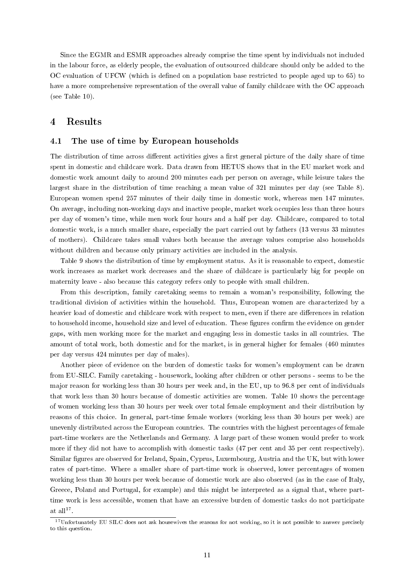Since the EGMR and ESMR approaches already comprise the time spent by individuals not included in the labour force, as elderly people, the evaluation of outsourced childcare should only be added to the OC evaluation of UFCW (which is defined on a population base restricted to people aged up to 65) to have a more comprehensive representation of the overall value of family childcare with the OC approach (see Table 10).

## 4 Results

#### 4.1 The use of time by European households

The distribution of time across different activities gives a first general picture of the daily share of time spent in domestic and childcare work. Data drawn from HETUS shows that in the EU market work and domestic work amount daily to around 200 minutes each per person on average, while leisure takes the largest share in the distribution of time reaching a mean value of 321 minutes per day (see Table 8). European women spend 257 minutes of their daily time in domestic work, whereas men 147 minutes. On average, including non-working days and inactive people, market work occupies less than three hours per day of women's time, while men work four hours and a half per day. Childcare, compared to total domestic work, is a much smaller share, especially the part carried out by fathers (13 versus 33 minutes of mothers). Childcare takes small values both because the average values comprise also households without children and because only primary activities are included in the analysis.

Table 9 shows the distribution of time by employment status. As it is reasonable to expect, domestic work increases as market work decreases and the share of childcare is particularly big for people on maternity leave - also because this category refers only to people with small children.

From this description, family caretaking seems to remain a woman's responsibility, following the traditional division of activities within the household. Thus, European women are characterized by a heavier load of domestic and childcare work with respect to men, even if there are differences in relation to household income, household size and level of education. These figures confirm the evidence on gender gaps, with men working more for the market and engaging less in domestic tasks in all countries. The amount of total work, both domestic and for the market, is in general higher for females (460 minutes per day versus 424 minutes per day of males).

Another piece of evidence on the burden of domestic tasks for women's employment can be drawn from EU-SILC. Family caretaking - housework, looking after children or other persons - seems to be the major reason for working less than 30 hours per week and, in the EU, up to 96.8 per cent of individuals that work less than 30 hours because of domestic activities are women. Table 10 shows the percentage of women working less than 30 hours per week over total female employment and their distribution by reasons of this choice. In general, part-time female workers (working less than 30 hours per week) are unevenly distributed across the European countries. The countries with the highest percentages of female part-time workers are the Netherlands and Germany. A large part of these women would prefer to work more if they did not have to accomplish with domestic tasks (47 per cent and 35 per cent respectively). Similar figures are observed for Ireland, Spain, Cyprus, Luxembourg, Austria and the UK, but with lower rates of part-time. Where a smaller share of part-time work is observed, lower percentages of women working less than 30 hours per week because of domestic work are also observed (as in the case of Italy, Greece, Poland and Portugal, for example) and this might be interpreted as a signal that, where parttime work is less accessible, women that have an excessive burden of domestic tasks do not participate at all $1^7$ .

<sup>&</sup>lt;sup>17</sup>Unfortunately EU SILC does not ask housewives the reasons for not working, so it is not possible to answer precisely to this question.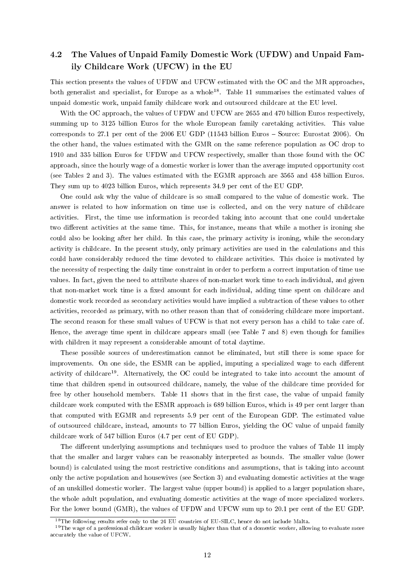## 4.2 The Values of Unpaid Family Domestic Work (UFDW) and Unpaid Family Childcare Work (UFCW) in the EU

This section presents the values of UFDW and UFCW estimated with the OC and the MR approaches, both generalist and specialist, for Europe as a whole<sup>18</sup>. Table 11 summarises the estimated values of unpaid domestic work, unpaid family childcare work and outsourced childcare at the EU level.

With the OC approach, the values of UFDW and UFCW are 2655 and 470 billion Euros respectively. summing up to 3125 billion Euros for the whole European family caretaking activities. This value corresponds to 27.1 per cent of the 2006 EU GDP (11543 billion Euros  $-$  Source: Eurostat 2006). On the other hand, the values estimated with the GMR on the same reference population as OC drop to 1910 and 335 billion Euros for UFDW and UFCW respectively, smaller than those found with the OC approach, since the hourly wage of a domestic worker is lower than the average imputed opportunity cost (see Tables 2 and 3). The values estimated with the EGMR approach are 3565 and 458 billion Euros. They sum up to 4023 billion Euros, which represents 34.9 per cent of the EU GDP.

One could ask why the value of childcare is so small compared to the value of domestic work. The answer is related to how information on time use is collected, and on the very nature of childcare activities. First, the time use information is recorded taking into account that one could undertake two different activities at the same time. This, for instance, means that while a mother is ironing she could also be looking after her child. In this case, the primary activity is ironing, while the secondary activity is childcare. In the present study, only primary activities are used in the calculations and this could have considerably reduced the time devoted to childcare activities. This choice is motivated by the necessity of respecting the daily time constraint in order to perform a correct imputation of time use values. In fact, given the need to attribute shares of non-market work time to each individual, and given that non-market work time is a fixed amount for each individual, adding time spent on childcare and domestic work recorded as secondary activities would have implied a subtraction of these values to other activities, recorded as primary, with no other reason than that of considering childcare more important. The second reason for these small values of UFCW is that not every person has a child to take care of. Hence, the average time spent in childcare appears small (see Table 7 and 8) even though for families with children it may represent a considerable amount of total daytime.

These possible sources of underestimation cannot be eliminated, but still there is some space for improvements. On one side, the ESMR can be applied, imputing a specialized wage to each different activity of childcare<sup>19</sup>. Alternatively, the OC could be integrated to take into account the amount of time that children spend in outsourced childcare, namely, the value of the childcare time provided for free by other household members. Table 11 shows that in the first case, the value of unpaid family childcare work computed with the ESMR approach is 689 billion Euros, which is 49 per cent larger than that computed with EGMR and represents 5.9 per cent of the European GDP. The estimated value of outsourced childcare, instead, amounts to 77 billion Euros, yielding the OC value of unpaid family childcare work of 547 billion Euros (4.7 per cent of EU GDP).

The different underlying assumptions and techniques used to produce the values of Table 11 imply that the smaller and larger values can be reasonably interpreted as bounds. The smaller value (lower bound) is calculated using the most restrictive conditions and assumptions, that is taking into account only the active population and housewives (see Section 3) and evaluating domestic activities at the wage of an unskilled domestic worker. The largest value (upper bound) is applied to a larger population share, the whole adult population, and evaluating domestic activities at the wage of more specialized workers. For the lower bound (GMR), the values of UFDW and UFCW sum up to 20.1 per cent of the EU GDP.

<sup>&</sup>lt;sup>18</sup>The following results refer only to the 24 EU countries of EU-SILC, hence do not include Malta.

 $19$ The wage of a professional childcare worker is usually higher than that of a domestic worker, allowing to evaluate more accurately the value of UFCW.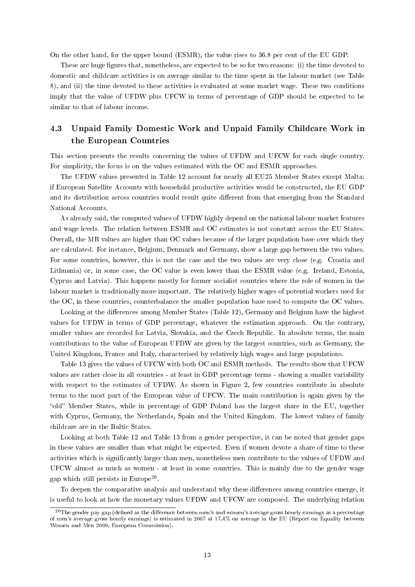On the other hand, for the upper bound (ESMR), the value rises to 36.8 per cent of the EU GDP.

These are huge figures that, nonetheless, are expected to be so for two reasons: (i) the time devoted to domestic and childcare activities is on average similar to the time spent in the labour market (see Table 8), and (ii) the time devoted to these activities is evaluated at some market wage. These two conditions imply that the value of UFDW plus UFCW in terms of percentage of GDP should be expected to be similar to that of labour income.

## 4.3 Unpaid Family Domestic Work and Unpaid Family Childcare Work in the European Countries

This section presents the results concerning the values of UFDW and UFCW for each single country. For simplicity, the focus is on the values estimated with the OC and ESMR approaches.

The UFDW values presented in Table 12 account for nearly all EU25 Member States except Malta: if European Satellite Accounts with household productive activities would be constructed, the EU GDP and its distribution across countries would result quite different from that emerging from the Standard National Accounts.

As already said, the computed values of UFDW highly depend on the national labour market features and wage levels. The relation between ESMR and OC estimates is not constant across the EU States. Overall, the MR values are higher than OC values because of the larger population base over which they are calculated. For instance, Belgium, Denmark and Germany, show a large gap between the two values. For some countries, however, this is not the case and the two values are very close (e.g. Croatia and Lithuania) or, in some case, the OC value is even lower than the ESMR value (e.g. Ireland, Estonia, Cyprus and Latvia). This happens mostly for former socialist countries where the role of women in the labour market is traditionally more important. The relatively higher wages of potential workers used for the OC, in these countries, counterbalance the smaller population base used to compute the OC values.

Looking at the differences among Member States (Table 12), Germany and Belgium have the highest values for UFDW in terms of GDP percentage, whatever the estimation approach. On the contrary, smaller values are recorded for Latvia, Slovakia, and the Czech Republic. In absolute terms, the main contributions to the value of European UFDW are given by the largest countries, such as Germany, the United Kingdom, France and Italy, characterised by relatively high wages and large populations.

Table 13 gives the values of UFCW with both OC and ESMR methods. The results show that UFCW values are rather close in all countries - at least in GDP percentage terms - showing a smaller variability with respect to the estimates of UFDW. As shown in Figure 2, few countries contribute in absolute terms to the most part of the European value of UFCW. The main contribution is again given by the "old" Member States, while in percentage of GDP Poland has the largest share in the EU, together with Cyprus, Germany, the Netherlands, Spain and the United Kingdom. The lowest values of family childcare are in the Baltic States.

Looking at both Table 12 and Table 13 from a gender perspective, it can be noted that gender gaps in these values are smaller than what might be expected. Even if women devote a share of time to these activities which is signicantly larger than men, nonetheless men contribute to the values of UFDW and UFCW almost as much as women - at least in some countries. This is mainly due to the gender wage gap which still persists in Europe<sup>20</sup>.

To deepen the comparative analysis and understand why these differences among countries emerge, it is useful to look at how the monetary values UFDW and UFCW are composed. The underlying relation

 $^{20}$ The gender pay gap (defined as the difference between men's and women's average gross hourly earnings as a percentage of men's average gross hourly earnings) is estimated in 2007 at 17.4% on average in the EU (Report on Equality between Women and Men 2009, European Commission).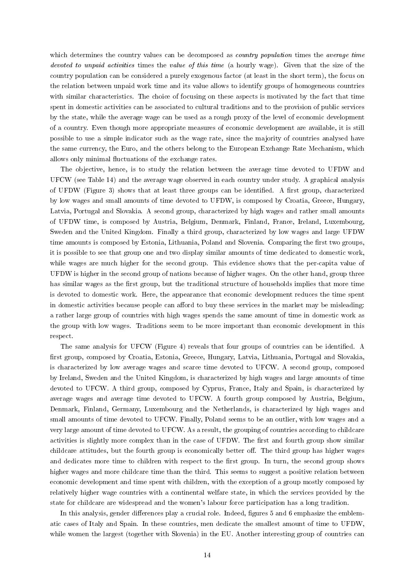which determines the country values can be decomposed as *country population* times the *average time* devoted to unpaid activities times the value of this time (a hourly wage). Given that the size of the country population can be considered a purely exogenous factor (at least in the short term), the focus on the relation between unpaid work time and its value allows to identify groups of homogeneous countries with similar characteristics. The choice of focusing on these aspects is motivated by the fact that time spent in domestic activities can be associated to cultural traditions and to the provision of public services by the state, while the average wage can be used as a rough proxy of the level of economic development of a country. Even though more appropriate measures of economic development are available, it is still possible to use a simple indicator such as the wage rate, since the majority of countries analysed have the same currency, the Euro, and the others belong to the European Exchange Rate Mechanism, which allows only minimal uctuations of the exchange rates.

The objective, hence, is to study the relation between the average time devoted to UFDW and UFCW (see Table 14) and the average wage observed in each country under study. A graphical analysis of UFDW (Figure 3) shows that at least three groups can be identified. A first group, characterized by low wages and small amounts of time devoted to UFDW, is composed by Croatia, Greece, Hungary, Latvia, Portugal and Slovakia. A second group, characterized by high wages and rather small amounts of UFDW time, is composed by Austria, Belgium, Denmark, Finland, France, Ireland, Luxembourg, Sweden and the United Kingdom. Finally a third group, characterized by low wages and large UFDW time amounts is composed by Estonia, Lithuania, Poland and Slovenia. Comparing the first two groups, it is possible to see that group one and two display similar amounts of time dedicated to domestic work, while wages are much higher for the second group. This evidence shows that the per-capita value of UFDW is higher in the second group of nations because of higher wages. On the other hand, group three has similar wages as the first group, but the traditional structure of households implies that more time is devoted to domestic work. Here, the appearance that economic development reduces the time spent in domestic activities because people can afford to buy these services in the market may be misleading: a rather large group of countries with high wages spends the same amount of time in domestic work as the group with low wages. Traditions seem to be more important than economic development in this respect.

The same analysis for UFCW (Figure 4) reveals that four groups of countries can be identied. A first group, composed by Croatia, Estonia, Greece, Hungary, Latvia, Lithuania, Portugal and Slovakia, is characterized by low average wages and scarce time devoted to UFCW. A second group, composed by Ireland, Sweden and the United Kingdom, is characterized by high wages and large amounts of time devoted to UFCW. A third group, composed by Cyprus, France, Italy and Spain, is characterized by average wages and average time devoted to UFCW. A fourth group composed by Austria, Belgium, Denmark, Finland, Germany, Luxembourg and the Netherlands, is characterized by high wages and small amounts of time devoted to UFCW. Finally, Poland seems to be an outlier, with low wages and a very large amount of time devoted to UFCW. As a result, the grouping of countries according to childcare activities is slightly more complex than in the case of UFDW. The first and fourth group show similar childcare attitudes, but the fourth group is economically better off. The third group has higher wages and dedicates more time to children with respect to the first group. In turn, the second group shows higher wages and more childcare time than the third. This seems to suggest a positive relation between economic development and time spent with children, with the exception of a group mostly composed by relatively higher wage countries with a continental welfare state, in which the services provided by the state for childcare are widespread and the women's labour force participation has a long tradition.

In this analysis, gender differences play a crucial role. Indeed, figures 5 and 6 emphasize the emblematic cases of Italy and Spain. In these countries, men dedicate the smallest amount of time to UFDW, while women the largest (together with Slovenia) in the EU. Another interesting group of countries can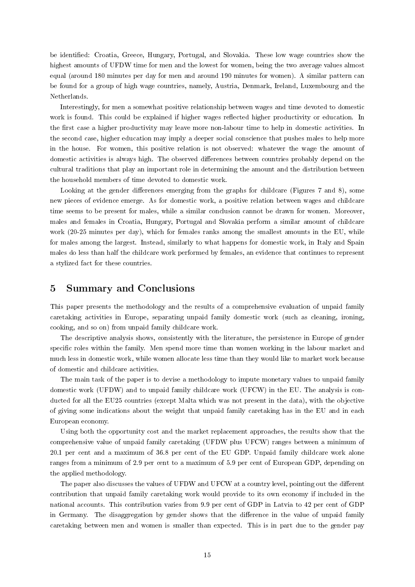be identified: Croatia, Greece, Hungary, Portugal, and Slovakia. These low wage countries show the highest amounts of UFDW time for men and the lowest for women, being the two average values almost equal (around 180 minutes per day for men and around 190 minutes for women). A similar pattern can be found for a group of high wage countries, namely, Austria, Denmark, Ireland, Luxembourg and the Netherlands.

Interestingly, for men a somewhat positive relationship between wages and time devoted to domestic work is found. This could be explained if higher wages reflected higher productivity or education. In the first case a higher productivity may leave more non-labour time to help in domestic activities. In the second case, higher education may imply a deeper social conscience that pushes males to help more in the house. For women, this positive relation is not observed: whatever the wage the amount of domestic activities is always high. The observed differences between countries probably depend on the cultural traditions that play an important role in determining the amount and the distribution between the household members of time devoted to domestic work.

Looking at the gender differences emerging from the graphs for childcare (Figures 7 and 8), some new pieces of evidence emerge. As for domestic work, a positive relation between wages and childcare time seems to be present for males, while a similar conclusion cannot be drawn for women. Moreover, males and females in Croatia, Hungary, Portugal and Slovakia perform a similar amount of childcare work (20-25 minutes per day), which for females ranks among the smallest amounts in the EU, while for males among the largest. Instead, similarly to what happens for domestic work, in Italy and Spain males do less than half the childcare work performed by females, an evidence that continues to represent a stylized fact for these countries.

### 5 Summary and Conclusions

This paper presents the methodology and the results of a comprehensive evaluation of unpaid family caretaking activities in Europe, separating unpaid family domestic work (such as cleaning, ironing, cooking, and so on) from unpaid family childcare work.

The descriptive analysis shows, consistently with the literature, the persistence in Europe of gender specific roles within the family. Men spend more time than women working in the labour market and much less in domestic work, while women allocate less time than they would like to market work because of domestic and childcare activities.

The main task of the paper is to devise a methodology to impute monetary values to unpaid family domestic work (UFDW) and to unpaid family childcare work (UFCW) in the EU. The analysis is conducted for all the EU25 countries (except Malta which was not present in the data), with the objective of giving some indications about the weight that unpaid family caretaking has in the EU and in each European economy.

Using both the opportunity cost and the market replacement approaches, the results show that the comprehensive value of unpaid family caretaking (UFDW plus UFCW) ranges between a minimum of 20.1 per cent and a maximum of 36.8 per cent of the EU GDP. Unpaid family childcare work alone ranges from a minimum of 2.9 per cent to a maximum of 5.9 per cent of European GDP, depending on the applied methodology.

The paper also discusses the values of UFDW and UFCW at a country level, pointing out the different contribution that unpaid family caretaking work would provide to its own economy if included in the national accounts. This contribution varies from 9.9 per cent of GDP in Latvia to 42 per cent of GDP in Germany. The disaggregation by gender shows that the difference in the value of unpaid family caretaking between men and women is smaller than expected. This is in part due to the gender pay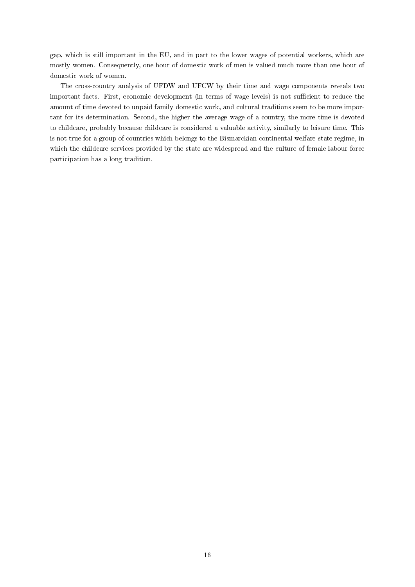gap, which is still important in the EU, and in part to the lower wages of potential workers, which are mostly women. Consequently, one hour of domestic work of men is valued much more than one hour of domestic work of women.

The cross-country analysis of UFDW and UFCW by their time and wage components reveals two important facts. First, economic development (in terms of wage levels) is not sufficient to reduce the amount of time devoted to unpaid family domestic work, and cultural traditions seem to be more important for its determination. Second, the higher the average wage of a country, the more time is devoted to childcare, probably because childcare is considered a valuable activity, similarly to leisure time. This is not true for a group of countries which belongs to the Bismarckian continental welfare state regime, in which the childcare services provided by the state are widespread and the culture of female labour force participation has a long tradition.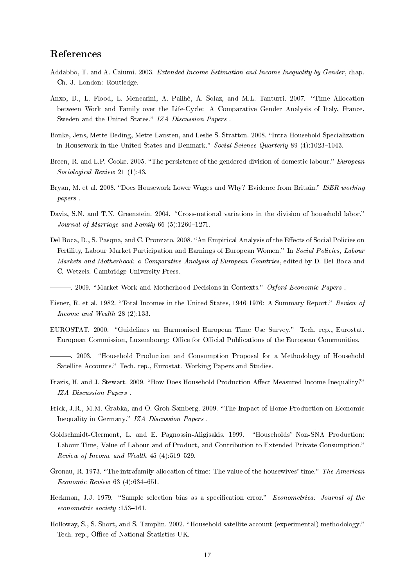## References

- Addabbo, T. and A. Caiumi. 2003. Extended Income Estimation and Income Inequality by Gender, chap. Ch. 3. London: Routledge.
- Anxo, D., L. Flood, L. Mencarini, A. Pailhé, A. Solaz, and M.L. Tanturri. 2007. "Time Allocation between Work and Family over the Life-Cycle: A Comparative Gender Analysis of Italy, France, Sweden and the United States." IZA Discussion Papers.
- Bonke, Jens, Mette Deding, Mette Lausten, and Leslie S. Stratton. 2008. "Intra-Household Specialization in Housework in the United States and Denmark." Social Science Quarterly 89 (4):1023-1043.
- Breen, R. and L.P. Cooke. 2005. "The persistence of the gendered division of domestic labour." European Sociological Review 21 (1):43.
- Bryan, M. et al. 2008. "Does Housework Lower Wages and Why? Evidence from Britain." ISER working papers .
- Davis, S.N. and T.N. Greenstein. 2004. "Cross-national variations in the division of household labor." Journal of Marriage and Family 66  $(5):1260-1271$ .
- Del Boca, D., S. Pasqua, and C. Pronzato. 2008. "An Empirical Analysis of the Effects of Social Policies on Fertility, Labour Market Participation and Earnings of European Women." In Social Policies, Labour Markets and Motherhood: a Comparative Analysis of European Countries, edited by D. Del Boca and C. Wetzels. Cambridge University Press.

 $-$ . 2009. "Market Work and Motherhood Decisions in Contexts." Oxford Economic Papers.

- Eisner, R. et al. 1982. "Total Incomes in the United States, 1946-1976: A Summary Report." Review of Income and Wealth 28 (2):133.
- EUROSTAT. 2000. "Guidelines on Harmonised European Time Use Survey." Tech. rep., Eurostat. European Commission, Luxembourg: Office for Official Publications of the European Communities.
- . 2003. "Household Production and Consumption Proposal for a Methodology of Household Satellite Accounts." Tech. rep., Eurostat. Working Papers and Studies.
- Frazis, H. and J. Stewart. 2009. "How Does Household Production Affect Measured Income Inequality?" IZA Discussion Papers .
- Frick, J.R., M.M. Grabka, and O. Groh-Samberg. 2009. The Impact of Home Production on Economic Inequality in Germany." IZA Discussion Papers.
- Goldschmidt-Clermont, L. and E. Pagnossin-Aligisakis. 1999. "Households' Non-SNA Production: Labour Time, Value of Labour and of Product, and Contribution to Extended Private Consumption. Review of Income and Wealth  $45(4):519-529$ .
- Gronau, R. 1973. "The intrafamily allocation of time: The value of the housewives' time." The American  $Economic Review 63 (4): 634–651.$
- Heckman, J.J. 1979. "Sample selection bias as a specification error." Econometrica: Journal of the  $econometric\ society:153-161.$
- Holloway, S., S. Short, and S. Tamplin. 2002. "Household satellite account (experimental) methodology." Tech. rep., Office of National Statistics UK.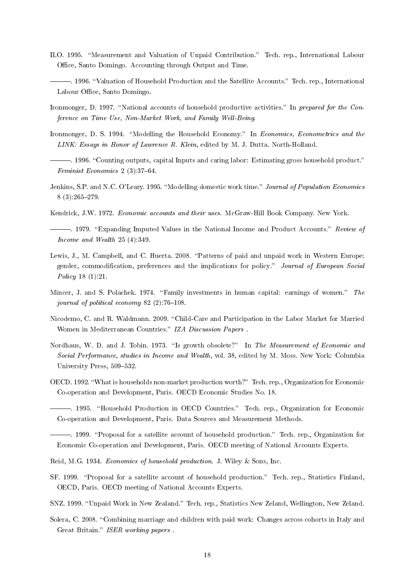- ILO. 1995. "Measurement and Valuation of Unpaid Contribution." Tech. rep., International Labour Office, Santo Domingo. Accounting through Output and Time.
- . 1996. "Valuation of Household Production and the Satellite Accounts." Tech. rep., International Labour Office, Santo Domingo.
- Ironmonger, D. 1997. "National accounts of household productive activities." In prepared for the Conference on Time Use, Non-Market Work, and Family Well-Being.
- Ironmonger, D. S. 1994. "Modelling the Household Economy." In Economics, Econometrics and the LINK: Essays in Honor of Lawrence R. Klein, edited by M. J. Dutta. North-Holland.
- . 1996. "Counting outputs, capital Inputs and caring labor: Estimating gross household product." Feminist Economics 2  $(3)$ : 37-64.
- Jenkins, S.P. and N.C. O'Leary. 1995. "Modelling domestic work time." Journal of Population Economics 8 (3):265279.
- Kendrick, J.W. 1972. Economic accounts and their uses. McGraw-Hill Book Company. New York.
- -. 1979. "Expanding Imputed Values in the National Income and Product Accounts." Review of Income and Wealth 25 (4):349.
- Lewis, J., M. Campbell, and C. Huerta. 2008. "Patterns of paid and unpaid work in Western Europe: gender, commodification, preferences and the implications for policy." Journal of European Social Policy 18 (1):21.
- Mincer, J. and S. Polachek. 1974. "Family investments in human capital: earnings of women." The journal of political economy  $82$  (2):76-108.
- Nicodemo, C. and R. Waldmann. 2009. "Child-Care and Participation in the Labor Market for Married Women in Mediterranean Countries." IZA Discussion Papers.
- Nordhaus, W. D. and J. Tobin. 1973. "Is growth obsolete?" In The Measurement of Economic and Social Performance, studies in Income and Wealth, vol. 38, edited by M. Moss. New York: Columbia University Press, 509-532.
- OECD. 1992. What is households non-market production worth? Tech. rep., Organization for Economic Co-operation and Development, Paris. OECD Economic Studies No. 18.
- <sup>1995</sup>. "Household Production in OECD Countries." Tech. rep., Organization for Economic Co-operation and Development, Paris. Data Sources and Measurement Methods.

. 1999. Proposal for a satellite account of household production. Tech. rep., Organization for Economic Co-operation and Development, Paris. OECD meeting of National Accounts Experts.

- Reid, M.G. 1934. Economics of household production. J. Wiley & Sons, Inc.
- SF. 1999. "Proposal for a satellite account of household production." Tech. rep., Statistics Finland, OECD, Paris. OECD meeting of National Accounts Experts.
- SNZ. 1999. "Unpaid Work in New Zealand." Tech. rep., Statistics New Zeland, Wellington, New Zeland.
- Solera, C. 2008. "Combining marriage and children with paid work: Changes across cohorts in Italy and Great Britain." ISER working papers.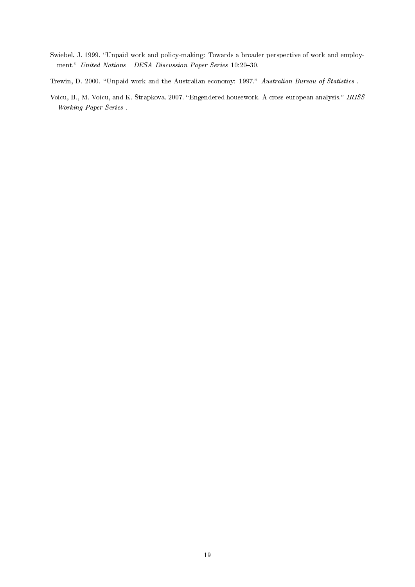- Swiebel, J. 1999. "Unpaid work and policy-making: Towards a broader perspective of work and employment." United Nations - DESA Discussion Paper Series 10:20-30.
- Trewin, D. 2000. "Unpaid work and the Australian economy: 1997." Australian Bureau of Statistics.
- Voicu, B., M. Voicu, and K. Strapkova. 2007. "Engendered housework. A cross-european analysis." IRISS Working Paper Series .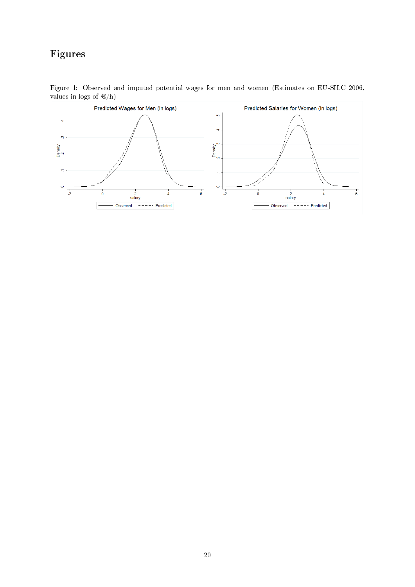## Figures



Figure 1: Observed and imputed potential wages for men and women (Estimates on EU-SILC 2006, values in logs of  $\epsilon/h$ )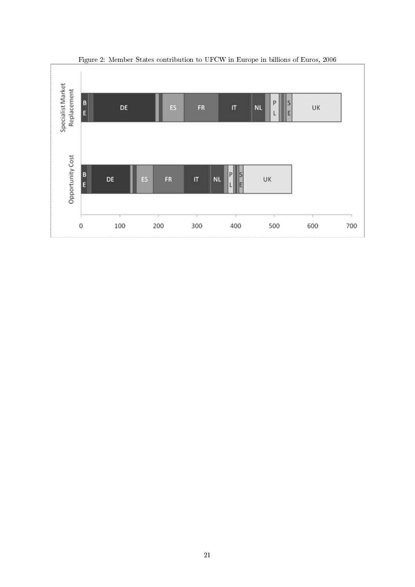

Figure 2: Member States contribution to UFCW in Europe in billions of Euros, 2006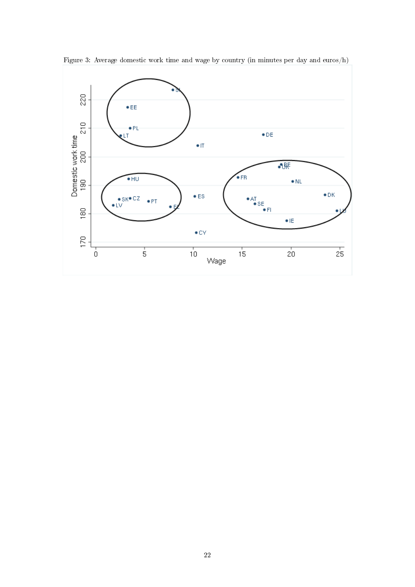

Figure 3: Average domestic work time and wage by country (in minutes per day and euros/h)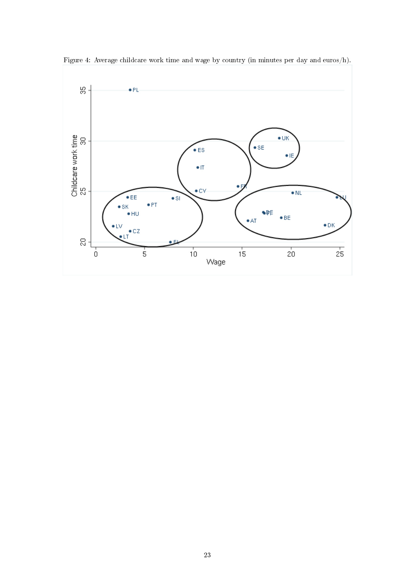

Figure 4: Average childcare work time and wage by country (in minutes per day and euros/h).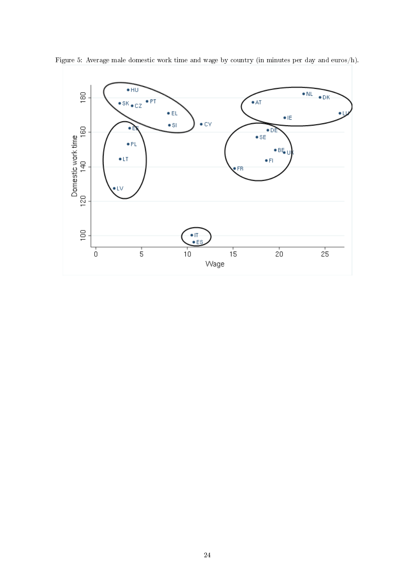

Figure 5: Average male domestic work time and wage by country (in minutes per day and euros/h).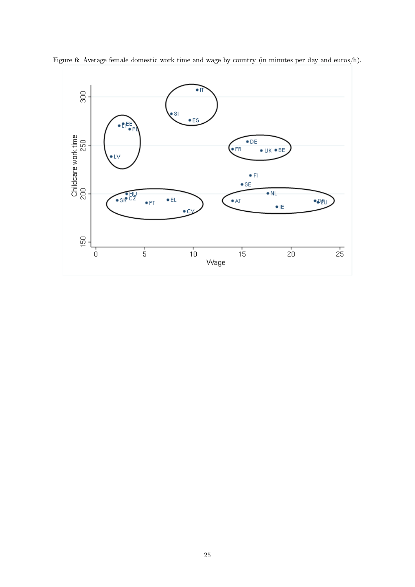

Figure 6: Average female domestic work time and wage by country (in minutes per day and euros/h).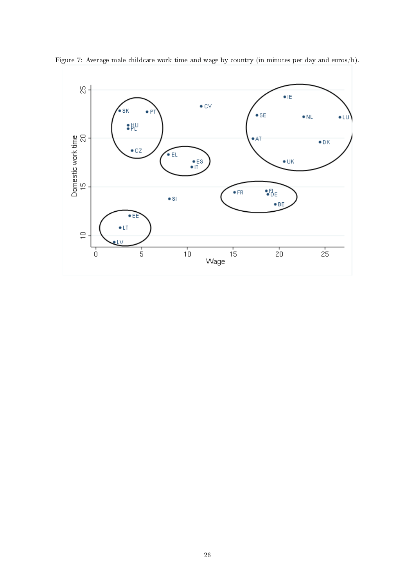

Figure 7: Average male childcare work time and wage by country (in minutes per day and euros/h).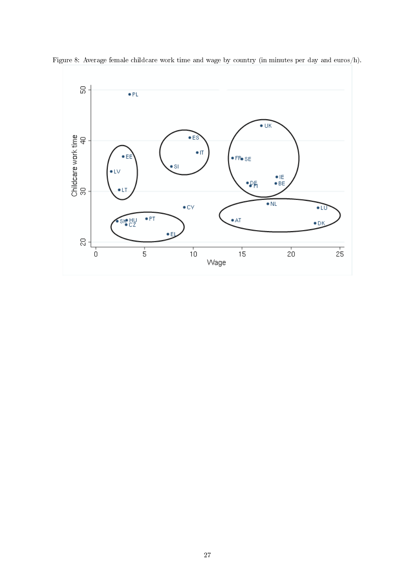

Figure 8: Average female childcare work time and wage by country (in minutes per day and euros/h).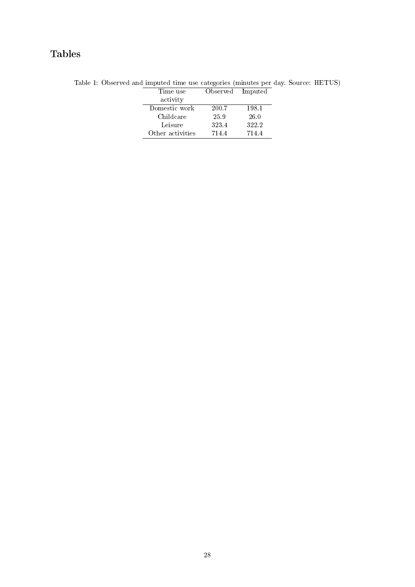## Tables

| Time use         | Observed Imputed |       |
|------------------|------------------|-------|
| activity         |                  |       |
| Domestic work    | 200.7            | 198.1 |
| Childcare        | 25.9             | 26.0  |
| Leisure          | 323.4            | 322.2 |
| Other activities | 714.4            | 714.4 |

Table 1: Observed and imputed time use categories (minutes per day. Source: HETUS)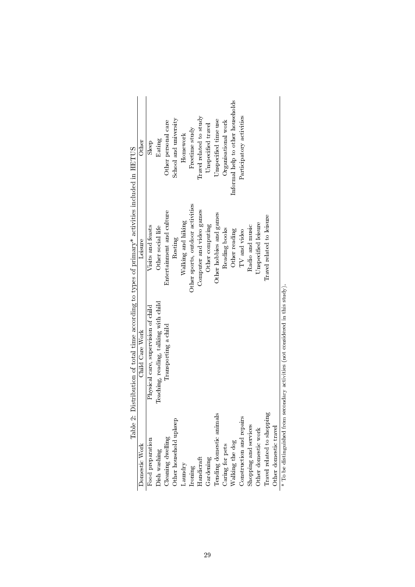|                            | Table 2: Distribution of total time according to types of primary* activities included in HETUS |                                  |                                   |
|----------------------------|-------------------------------------------------------------------------------------------------|----------------------------------|-----------------------------------|
| Domestic Work              | Child Care Work                                                                                 | Leisure                          | Other                             |
| Food preparation           | Physical care, supervision of child                                                             | Visits and feasts                | Sleep                             |
| Dish washing               | Teaching, reading, talking with child                                                           | Other social life                | Eating                            |
| Cleaning dwelling          | Transporting a child                                                                            | Entertainment and culture        | Other personal care               |
| Other household upkeep     |                                                                                                 | Resting                          | School and university             |
| Laundry                    |                                                                                                 | Walking and hiking               | Homework                          |
| Ironing                    |                                                                                                 | Other sports, outdoor activities | Freetime study                    |
| Handicraft                 |                                                                                                 | Computer and video games         | Travel related to study           |
| Gardening                  |                                                                                                 | Other computing                  | Unspecified travel                |
| Tending domestic animals   |                                                                                                 | Other hobbies and games          | Unspecified time use              |
| Caring for pets            |                                                                                                 | Reading books                    | Organisational work               |
| Walking the dog            |                                                                                                 | Other reading                    | Informal help to other households |
| Construction and repairs   |                                                                                                 | TV and video                     | Participatory activities          |
| Shopping and services      |                                                                                                 | Radio and music                  |                                   |
| Other domestic work        |                                                                                                 | Unspecified leisure              |                                   |
| Iravel related to shopping |                                                                                                 | Travel related to leisure        |                                   |
| Other domestic travel      |                                                                                                 |                                  |                                   |
| こっしょう こようしゃ 目々             |                                                                                                 |                                  |                                   |

| $\frac{1}{2}$<br>֧֛֦֧֢ׅ֦֧ׅ֧֧֢ׅ֦֧֚֚֚֚֚֚֚֚֚֚֚֚֚֚֚֚֚֚֓֡֜֓֡֜֓֓֜֓֡ |
|---------------------------------------------------------------|
|                                                               |
| ا<br>تار                                                      |
|                                                               |
| ;<br>;<br>;                                                   |
|                                                               |
|                                                               |
|                                                               |
|                                                               |
|                                                               |
| ֚֚֬                                                           |
| $-26 + 26 + 26$                                               |
|                                                               |
|                                                               |
|                                                               |
| I                                                             |
|                                                               |
|                                                               |
|                                                               |
|                                                               |
| ĺ                                                             |
|                                                               |
|                                                               |
| į                                                             |
| rana anan'                                                    |
|                                                               |
|                                                               |
|                                                               |
| i<br>I<br>I<br>I<br>I<br>I<br>:<br>:<br>֚֘                    |
|                                                               |
| ׅ֧֧֧֚֚֚֚֚֚֚֚֚֚֚֚֚֚֚֚֚֡֡֡֡֡֡֜֓֡֡֓֡֡֡֬֝֓֓֡֓֓֞֡֓֓֡֡֬             |
|                                                               |
|                                                               |
|                                                               |
| .<br>t<br>ļ                                                   |
|                                                               |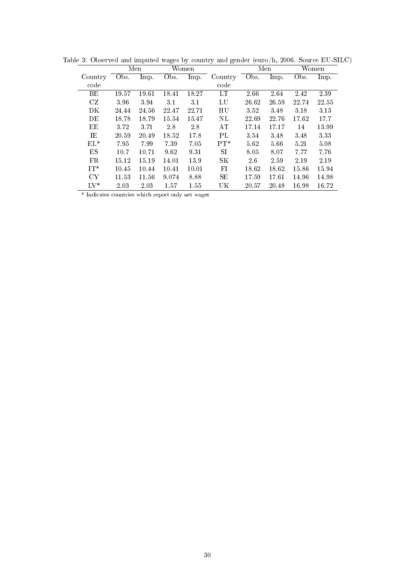|            |       | Men   |       | Women |                 |       | Men   |       | Women |
|------------|-------|-------|-------|-------|-----------------|-------|-------|-------|-------|
| Country    | Obs.  | lmp.  | Obs.  | Imp.  | Country         | Obs.  | Imp.  | Obs.  | Imp.  |
| code       |       |       |       |       | code            |       |       |       |       |
| BЕ         | 19.57 | 19.61 | 18.41 | 18.27 | LT              | 2.66  | 2.64  | 2.42  | 2.39  |
| CZ         | 3.96  | 3.94  | 3.1   | 3.1   | LU              | 26.62 | 26.59 | 22.74 | 22.55 |
| DK         | 24.44 | 24.56 | 22.47 | 22.71 | HU              | 3.52  | 3.48  | 3.18  | 3.13  |
| DE         | 18.78 | 18.79 | 15.54 | 15.47 | NL              | 22.69 | 22.76 | 17.62 | 17.7  |
| EЕ         | 3.72  | 3.71  | 2.8   | 2.8   | AТ              | 17.14 | 17.17 | 14    | 13.99 |
| ΤE         | 20.59 | 20.49 | 18.52 | 17.8  | PI <sub>1</sub> | 3.54  | 3.48  | 3.48  | 3.33  |
| $EL^*$     | 7.95  | 7.99  | 7.39  | 7.05  | $PT^*$          | 5.62  | 5.66  | 5.21  | 5.08  |
| ES         | 10.7  | 10.71 | 9.62  | 9.31  | SТ              | 8.05  | 8.07  | 7.77  | 7.76  |
| FR.        | 15.12 | 15.19 | 14.01 | 13.9  | SК              | 26    | 2.59  | 2.19  | 2.19  |
| $IT^*$     | 10.45 | 10.44 | 10.41 | 10.01 | FI              | 18.62 | 18.62 | 15.86 | 15.94 |
| CY         | 11.53 | 11.56 | 9.074 | 8.88  | SE              | 17.59 | 17.61 | 14.96 | 14.98 |
| $\rm LV^*$ | 2.03  | 2.03  | 1.57  | 1.55  | UK              | 20.57 | 20.48 | 16.98 | 16.72 |

Table 3: Observed and imputed wages by country and gender (euro/h, 2006. Source EU-SILC)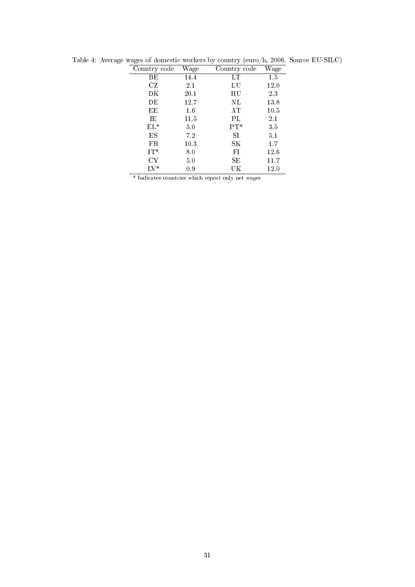| Country code  | Wage    | Country code | Wage     |
|---------------|---------|--------------|----------|
| BЕ            | 14.4    | LТ           | 1.5      |
| CZ            | 2.1     | LU           | 12.0     |
| DΚ            | 20.1    | НU           | $2.3\,$  |
| DE            | 12.7    | NL           | 13.8     |
| ЕE            | $1.6\,$ | AT           | 10.5     |
| ΙE            | 11.5    | PL           | 2.1      |
| $EL^*$        | 5.0     | $PT*$        | 3.5      |
| ES            | 7.2     | SI           | $5.1\,$  |
| FR            | 10.3    | SК           | 1.7      |
| $IT^*$        | 8.0     | FI           | 12.6     |
| CY            | 5.0     | SЕ           | 11.7     |
| $_{\rm LV^*}$ | 0.9     | UK           | $12.0\,$ |

Table 4: Average wages of domestic workers by country (euro/h, 2006. Source EU-SILC)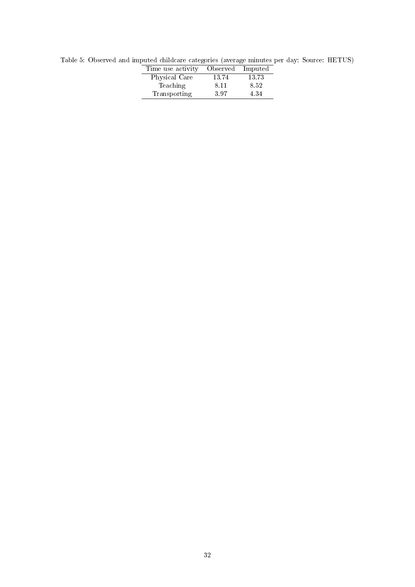| Time use activity | Observed | Imputed |
|-------------------|----------|---------|
| Physical Care     | 13.74    | 13.73   |
| Teaching          | 8.11     | 8.52    |
| Transporting      | 397      | 4.34    |
|                   |          |         |

Table 5: Observed and imputed childcare categories (average minutes per day: Source: HETUS)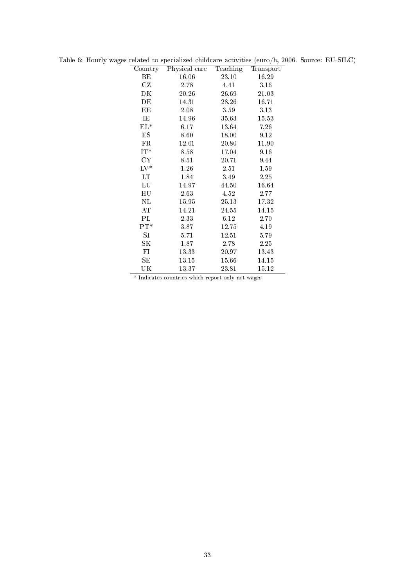| Country       | Physical care | Teaching | Transport |
|---------------|---------------|----------|-----------|
| BЕ            | 16.06         | 23.10    | 16.29     |
| CZ            | 2.78          | 4.41     | 3.16      |
| DK            | 20.26         | 26.69    | 21.03     |
| DΕ            | 14.31         | 28.26    | 16.71     |
| EЕ            | 2.08          | 3.59     | 3.13      |
| IE            | 14.96         | 35.63    | 15.53     |
| $EL^*$        | 6.17          | 13.64    | 7.26      |
| ES            | 8.60          | 18.00    | 9.12      |
| FR            | 12.01         | 20.80    | 11.90     |
| $IT^*$        | 8.58          | 17.04    | 9.16      |
| <b>CY</b>     | 8.51          | 20.71    | 9.44      |
| $_{\rm LV^*}$ | 1.26          | 2.51     | 1.59      |
| LT            | 1.84          | 3.49     | 2.25      |
| LU            | 14.97         | 44.50    | 16.64     |
| $_{\rm HU}$   | 2.63          | 4.52     | 2.77      |
| NL            | 15.95         | 25.13    | 17.32     |
| AT            | 14.21         | 24.55    | 14.15     |
| PL            | 2.33          | 6.12     | 2.70      |
| $PT^*$        | 3.87          | 12.75    | 4.19      |
| SI            | 5.71          | 12.51    | 5.79      |
| SΚ            | 1.87          | 2.78     | 2.25      |
| FI            | 13.33         | 20.97    | 13 43     |
| SE            | 13.15         | 15.66    | 14.15     |
| UK            | 13.37         | 23.81    | 15.12     |

Table 6: Hourly wages related to specialized childcare activities (euro/h, 2006. Source: EU-SILC)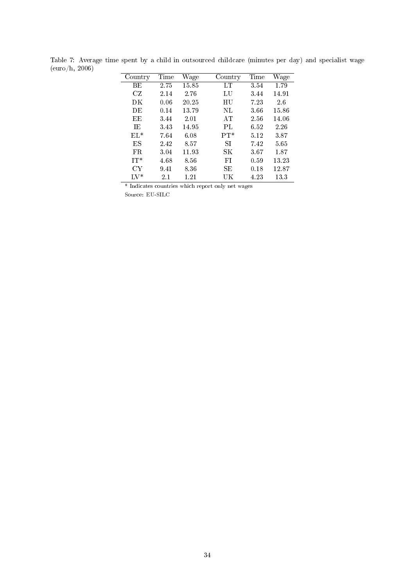| Country | Time    | Wage  | Country | Time | Wage  |
|---------|---------|-------|---------|------|-------|
| BE.     | 2.75    | 15.85 | LТ      | 3.54 | 1.79  |
| CZ      | 2.14    | 2.76  | LU      | 3.44 | 14.91 |
| DК      | 0.06    | 20.25 | HU      | 7.23 | 26    |
| DE      | 0.14    | 13.79 | NL      | 3.66 | 15.86 |
| ЕE      | 3.44    | 2.01  | AT      | 2.56 | 14.06 |
| TE.     | 3.43    | 14.95 | PL      | 6.52 | 2.26  |
| $EL^*$  | 7.64    | 6.08  | $PT*$   | 5.12 | 3.87  |
| ES      | 2.42    | 8.57  | SI      | 7.42 | 5.65  |
| FR.     | 3.04    | 11.93 | SΚ      | 3.67 | 1.87  |
| $IT^*$  | 4.68    | 8.56  | FI      | 0.59 | 13.23 |
| СY      | 9.41    | 8.36  | SE      | 0.18 | 12.87 |
| LV*     | $2.1\,$ | 1.21  | UK      | 4.23 | 13.3  |

Table 7: Average time spent by a child in outsourced childcare (minutes per day) and specialist wage (euro/h, 2006)  $\frac{1}{2}$  $\overline{\phantom{a}}$ 

Source: EU-SILC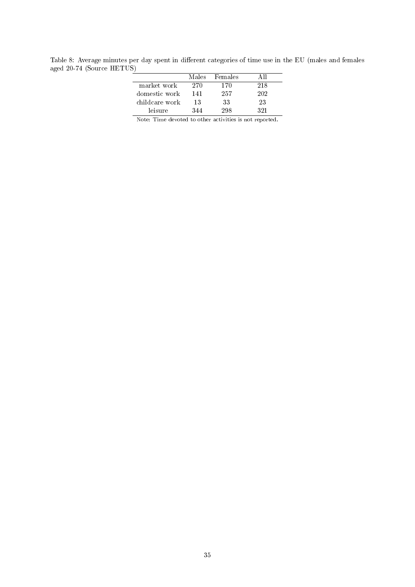Table 8: Average minutes per day spent in different categories of time use in the EU (males and females aged 20-74 (Source HETUS)

|                |     | Males Females |     |
|----------------|-----|---------------|-----|
| market work    | 270 | 170           | 218 |
| domestic work  | 141 | 257           | 202 |
| childcare work | 13  | 33            | 23  |
| leisure        | 344 | 298           | 391 |

Note: Time devoted to other activities is not reported.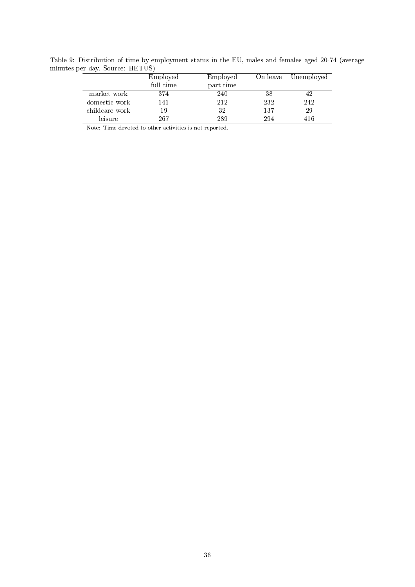Table 9: Distribution of time by employment status in the EU, males and females aged 20-74 (average minutes per day. Source: HETUS)

|                | Employed  | Employed  |     | On leave Unemployed |
|----------------|-----------|-----------|-----|---------------------|
|                | full time | part-time |     |                     |
| market work    | 374       | 240       | 38  | 42                  |
| domestic work  | 141       | 212       | 232 | 242                 |
| childcare work | 19        | 32        | 137 | 29                  |
| leisure        | 267       | 289       | 294 | 416                 |

Note: Time devoted to other activities is not reported.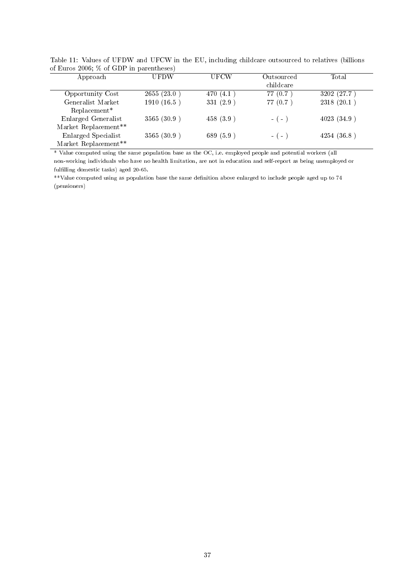| of Euros 2000, 70 of GDF in parentnesses |             |             |            |             |
|------------------------------------------|-------------|-------------|------------|-------------|
| Approach                                 | <b>UFDW</b> | UFCW        | Outsourced | Total       |
|                                          |             |             | childcare  |             |
| Opportunity Cost                         | 2655(23.0)  | 470 $(4.1)$ | 77(0.7)    | 3202 (27.7) |
| Generalist Market                        | 1910(16.5)  | 331(2.9)    | 77(0.7)    | 2318(20.1)  |
| $Replacement*$                           |             |             |            |             |
| Enlarged Generalist                      | 3565 (30.9) | 458(3.9)    | $-(-)$     | 4023(34.9)  |
| Market Replacement**                     |             |             |            |             |
| Enlarged Specialist                      | 3565 (30.9) | 689 (5.9)   | $-(-)$     | 4254(36.8)  |
| Market Replacement**                     |             |             |            |             |

Table 11: Values of UFDW and UFCW in the EU, including childcare outsourced to relatives (billions of Euros 2006;  $\%$  of GDP in parentheses)

\* Value computed using the same population base as the OC, i.e. employed people and potential workers (all non-working individuals who have no health limitation, are not in education and self-report as being unemployed or fulfilling domestic tasks) aged 20-65.

\*\*Value computed using as population base the same definition above enlarged to include people aged up to 74 (pensioners)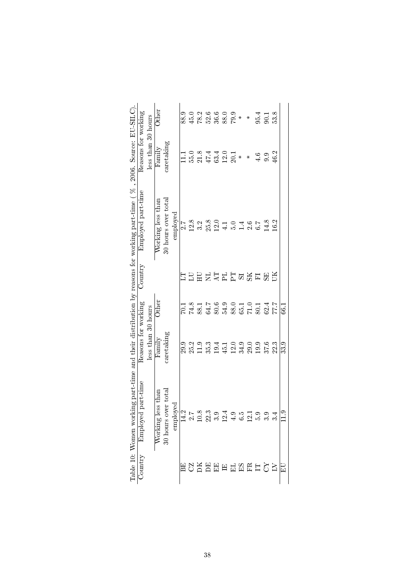|                                                                                                                            |                     |                    | $_{\rm Other}$            |                        |                         | 88.9          | 45.0 |                                                                              | 2<br>225600*<br>225827 |      |      |                          |         | ∗              | 95.4          | 90.1           | 53.8 |            |
|----------------------------------------------------------------------------------------------------------------------------|---------------------|--------------------|---------------------------|------------------------|-------------------------|---------------|------|------------------------------------------------------------------------------|------------------------|------|------|--------------------------|---------|----------------|---------------|----------------|------|------------|
|                                                                                                                            | Reasons for working | less than 30 hours | $\operatorname{Family}$   | caretaking             |                         |               |      | 0.814001<br>534622                                                           |                        |      |      |                          | $\star$ | ∗              | $\frac{6}{4}$ | 9.9            | 46.2 |            |
|                                                                                                                            | Employed part-time  |                    | Working less than         | 30 hours over total    | employed                | $\frac{7}{2}$ | 12.8 | 3.2                                                                          | $25.8$<br>12.0         |      |      | $1040$<br>$1040$<br>$20$ |         |                | 6.7           | 14.8           | 16.2 |            |
|                                                                                                                            | Country             |                    |                           |                        |                         | 5             |      |                                                                              |                        |      |      |                          |         | <b>马尔马巴马</b> 巴 |               | 55             | ĔБ   |            |
|                                                                                                                            |                     |                    | .<br>Other                |                        |                         | Г.07          |      | $74.8$<br>$75.7$<br>$83.7$<br>$84.8$<br>$85.0$<br>$85.1$<br>$80.1$<br>$80.1$ |                        |      |      |                          |         |                |               | $62.4$<br>77.7 |      | <u>ا ئ</u> |
|                                                                                                                            | Reasons for working | less than 30 hours | $\mathop{\text{Fannily}}$ | caretaking             |                         | 29.9          | 25.2 | 11.9<br>35.3                                                                 |                        | 19.4 | 45.1 | 12.0<br>34.9             |         | 29.0           | 19.9          | 37.6           | 22.3 | 33.9       |
| Table 10: Women working part-time and their distribution by reasons for working part-time ( $\%$ , 2006. Source: EU-SILC). | Employed part-time  |                    | less than<br>Working      | over total<br>30 hours | loyed<br>$_{\rm{empl}}$ | 14.2          |      | 2.7<br>2.8 3.9 3.4 9.5 1<br>2.1 3.9 3.1 4 6.1                                |                        |      |      |                          |         |                |               | က်ကံကံ         |      |            |
|                                                                                                                            | Jountry             |                    |                           |                        |                         |               |      | <b>因公认记记日日时识日公</b>                                                           |                        |      |      |                          |         |                |               |                |      | $\Xi$      |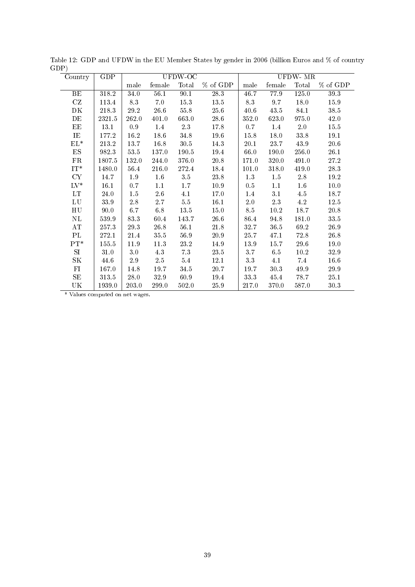| Country                | GDP    | UFDW-OC  |          |          |                   | UFDW- $\overline{\text{MR}}$ |          |                  |          |
|------------------------|--------|----------|----------|----------|-------------------|------------------------------|----------|------------------|----------|
|                        |        | male     | female   | Total    | % of GDP          | male                         | female   | Total            | % of GDP |
| BE                     | 318.2  | 34.0     | 56.1     | 90.1     | $\overline{28.3}$ | $\overline{46.7}$            | 77.9     | 125.0            | 39.3     |
| CZ                     | 113.4  | 8.3      | $7.0\,$  | 15.3     | 13.5              | 8.3                          | 9.7      | 18.0             | 15.9     |
| DK                     | 218.3  | 29.2     | 26.6     | $55.8\,$ | 25.6              | 40.6                         | 43.5     | 84.1             | 38.5     |
| DE                     | 2321.5 | 262.0    | 401.0    | 663.0    | 28.6              | 352.0                        | 623.0    | 975.0            | 42.0     |
| EE                     | 13.1   | 0.9      | 1.4      | 23       | 17.8              | 0.7                          | 1.4      | 2.0              | 15.5     |
| IE                     | 177.2  | 16.2     | 18.6     | 34.8     | 19.6              | 15.8                         | 18.0     | 33.8             | 19.1     |
| $\mathrm{EL}^*$        | 213.2  | 13.7     | 16.8     | $30.5\,$ | 14.3              | 20.1                         | 23.7     | 43.9             | $20.6\,$ |
| $_{\rm ES}$            | 982.3  | $53.5\,$ | 137.0    | 190.5    | 19.4              | 66.0                         | 190.0    | 256.0            | 26.1     |
| FR                     | 1807.5 | 132.0    | 244.0    | 376.0    | 20.8              | 171.0                        | 320.0    | 491.0            | 27.2     |
| $\mathrm{IT}^*$        | 1480.0 | 56.4     | 216.0    | 272.4    | 18.4              | 101.0                        | 318.0    | 419.0            | 28.3     |
| <b>CY</b>              | 14.7   | 1.9      | 1.6      | 3.5      | 23.8              | 1.3                          | 1.5      | 2.8              | 19.2     |
| $\mathrm{LV}^*$        | 16.1   | 0.7      | 1.1      | 1.7      | 10.9              | 0.5                          | 1.1      | $1.6\phantom{0}$ | 10.0     |
| LT                     | 24.0   | 1.5      | $2.6\,$  | 4.1      | 17.0              | 1.4                          | 3.1      | 4.5              | 18.7     |
| ${\rm LU}$             | 33.9   | $2.8\,$  | $2.7\,$  | $5.5\,$  | 16.1              | 2.0                          | $2.3\,$  | $4.2\,$          | $12.5\,$ |
| H <sub>U</sub>         | 90.0   | 6.7      | 6.8      | 13.5     | 15.0              | 8.5                          | 10.2     | 18.7             | 20.8     |
| $\rm NL$               | 539.9  | 83.3     | 60.4     | 143.7    | 26.6              | 86.4                         | 94.8     | 181.0            | 33.5     |
| AT                     | 257.3  | $29.3\,$ | 26.8     | 56.1     | $21.8\,$          | 32.7                         | 36.5     | 69.2             | 26.9     |
| $\mathbf{P}\mathbf{L}$ | 272.1  | 21.4     | $35.5\,$ | 56.9     | 20.9              | 25.7                         | 47.1     | 72.8             | 26.8     |
| $PT^*$                 | 155.5  | 11.9     | 11.3     | 23.2     | 14.9              | 13.9                         | 15.7     | 29.6             | 19.0     |
| SI.                    | 31.0   | 3.0      | 4.3      | 73       | 23.5              | 3.7                          | 6.5      | 10.2             | 32.9     |
| SK                     | 44.6   | 2.9      | $2.5\,$  | $5.4\,$  | 12.1              | 3.3                          | 4.1      | 7.4              | 16.6     |
| FI                     | 167.0  | 14.8     | 19.7     | 34.5     | 20.7              | 19.7                         | $30.3\,$ | 49.9             | $29.9\,$ |
| SE                     | 313.5  | 28.0     | 32.9     | 60.9     | 19.4              | 33.3                         | 45.4     | 78.7             | 25.1     |
| UK                     | 1939.0 | 203.0    | 299.0    | 502.0    | 25.9              | 217.0                        | 370.0    | 587.0            | 30.3     |

Table 12: GDP and UFDW in the EU Member States by gender in 2006 (billion Euros and % of country GDP)

\* Values computed on net wages.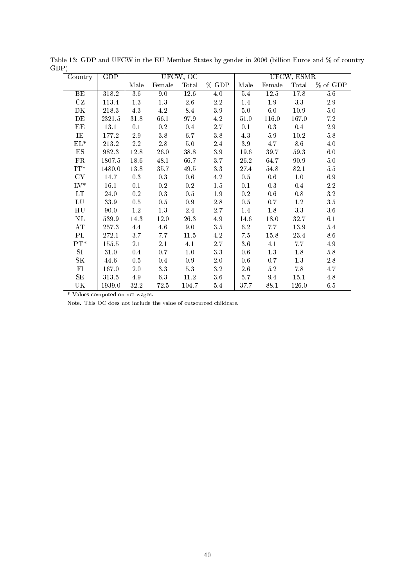| Country                           | GDP    | UFCW, OC         |           |           |         | UFCW, ESMR |         |         |            |
|-----------------------------------|--------|------------------|-----------|-----------|---------|------------|---------|---------|------------|
|                                   |        | Male             | Female    | Total     | % GDP   | Male       | Female  | Total   | $%$ of GDP |
| BE                                | 318.2  | $\overline{3.6}$ | 9.0       | 126       | 4.0     | 5.4        | 12.5    | 178     | 56         |
| CZ                                | 113.4  | $1.3\,$          | $1.3\,$   | $2.6\,$   | $2.2\,$ | 1.4        | $1.9\,$ | 3.3     | $2.9\,$    |
| DK                                | 218.3  | 4.3              | 4.2       | 8.4       | $3.9\,$ | $5.0\,$    | 6.0     | 10.9    | $5.0\,$    |
| DE                                | 2321.5 | 31.8             | 66.1      | 97.9      | 4.2     | 51.0       | 116.0   | 167.0   | $7.2\,$    |
| EE                                | 13.1   | 0.1              | $\rm 0.2$ | 0.4       | $2.7\,$ | 0.1        | 0.3     | 0.4     | $2.9\,$    |
| $\rm IE$                          | 177.2  | $2.9\,$          | $3.8\,$   | 6.7       | $3.8\,$ | 4.3        | $5.9\,$ | 10.2    | $5.8\,$    |
| $\mathrm{EL}^*$                   | 213.2  | $2.2\,$          | $2.8\,$   | $5.0\,$   | $2.4\,$ | $3.9\,$    | 4.7     | $8.6\,$ | 4.0        |
| $_{\rm ES}$                       | 982.3  | 12.8             | $26.0\,$  | 38.8      | $3.9\,$ | 196        | 39.7    | 59.3    | $6.0\,$    |
| FR                                | 1807.5 | 18.6             | 48.1      | 66.7      | 3.7     | 26.2       | 64.7    | 90.9    | $5.0\,$    |
| $\mathrm{IT}^*$                   | 1480.0 | 13.8             | 35.7      | 49.5      | 3.3     | 27.4       | 54.8    | 82.1    | $5.5\,$    |
| CY                                | 14.7   | 0.3              | $0.3\,$   | 0.6       | 4.2     | 0.5        | 0.6     | 1.0     | 6.9        |
| $\mathrm{LV}^*$                   | 16.1   | 0.1              | $\rm 0.2$ | $\rm 0.2$ | $1.5\,$ | 0.1        | $0.3\,$ | 0.4     | $2.2\,$    |
| $\mathop{\rm LT}\nolimits$        | 24.0   | $\rm 0.2$        | $0.3\,$   | 0.5       | $1.9\,$ | $\rm 0.2$  | 0.6     | 0.8     | $3.2\,$    |
| ${\rm LU}$                        | 33.9   | 0.5              | $0.5\,$   | 0.9       | $2.8\,$ | 0.5        | 0.7     | 1.2     | $3.5\,$    |
| H <sub>U</sub>                    | 90.0   | $1.2\,$          | 1.3       | 2.4       | 2.7     | 1.4        | 1.8     | 3.3     | $3.6\,$    |
| $\rm NL$                          | 539.9  | 14.3             | $12.0\,$  | 26.3      | 4.9     | 14.6       | 18.0    | 32.7    | 6.1        |
| $\mathbf{A}\mathbf{T}$            | 257.3  | 4.4              | 4.6       | $9.0\,$   | $3.5\,$ | 6.2        | 7.7     | 13.9    | 5.4        |
| PL                                | 272.1  | 3.7              | 7.7       | $11.5\,$  | $4.2\,$ | 7.5        | 15.8    | 23.4    | 8.6        |
| $PT^*$                            | 155.5  | 2.1              | $2.1\,$   | 4.1       | $2.7\,$ | 3.6        | 4.1     | 7.7     | 4.9        |
| SI                                | 31.0   | 0.4              | 0.7       | 1.0       | 3.3     | 0.6        | 1.3     | 1.8     | $5.8\,$    |
| SΚ                                | 44.6   | 0.5              | 0.4       | 0.9       | $2.0\,$ | 0.6        | 0.7     | 1.3     | 2.8        |
| FI                                | 167.0  | $2.0\,$          | $3.3\,$   | $5.3\,$   | $3.2\,$ | 2.6        | $5.2\,$ | 7.8     | 4.7        |
| $\rm SE$                          | 313.5  | 4.9              | $6.3\,$   | 11.2      | $3.6\,$ | 5.7        | 9.4     | 15.1    | 4.8        |
| $\ensuremath{\mathrm{UK}}\xspace$ | 1939.0 | 32.2             | 72.5      | 104.7     | 5.4     | 37.7       | 88.1    | 126.0   | 6.5        |

Table 13: GDP and UFCW in the EU Member States by gender in 2006 (billion Euros and % of country GDP)

\* Values computed on net wages.

Note. This OC does not include the value of outsourced childcare.